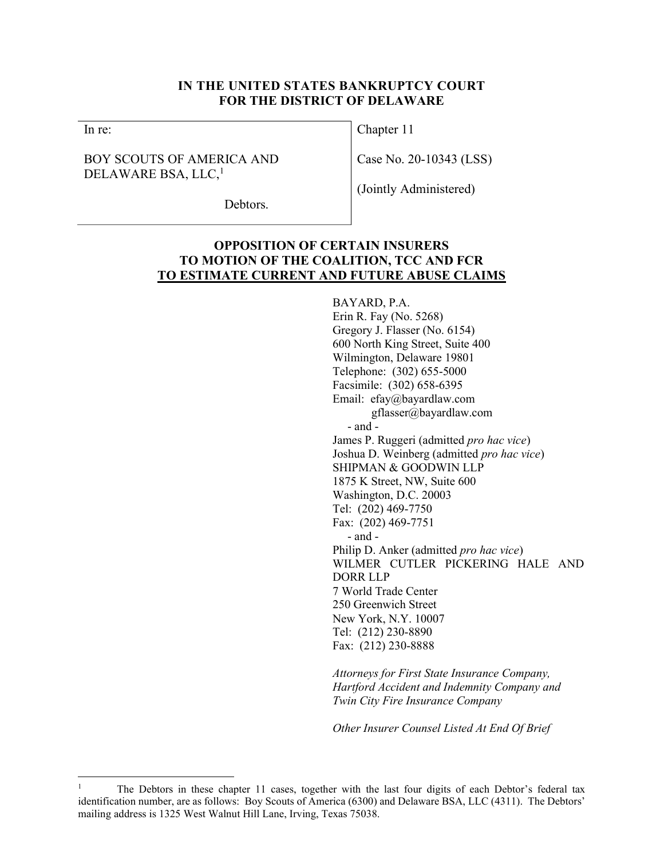### IN THE UNITED STATES BANKRUPTCY COURT FOR THE DISTRICT OF DELAWARE

In re:

## BOY SCOUTS OF AMERICA AND DELAWARE BSA, LLC,<sup>1</sup>

Chapter 11

Case No. 20-10343 (LSS)

(Jointly Administered)

Debtors.

# OPPOSITION OF CERTAIN INSURERS TO MOTION OF THE COALITION, TCC AND FCR TO ESTIMATE CURRENT AND FUTURE ABUSE CLAIMS

#### BAYARD, P.A.

Erin R. Fay (No. 5268) Gregory J. Flasser (No. 6154) 600 North King Street, Suite 400 Wilmington, Delaware 19801 Telephone: (302) 655-5000 Facsimile: (302) 658-6395 Email: efay@bayardlaw.com gflasser@bayardlaw.com - and - James P. Ruggeri (admitted pro hac vice) Joshua D. Weinberg (admitted pro hac vice) SHIPMAN & GOODWIN LLP 1875 K Street, NW, Suite 600 Washington, D.C. 20003 Tel: (202) 469-7750 Fax: (202) 469-7751 - and - Philip D. Anker (admitted pro hac vice) WILMER CUTLER PICKERING HALE AND DORR LLP 7 World Trade Center 250 Greenwich Street New York, N.Y. 10007 Tel: (212) 230-8890 Fax: (212) 230-8888

Attorneys for First State Insurance Company, Hartford Accident and Indemnity Company and Twin City Fire Insurance Company

Other Insurer Counsel Listed At End Of Brief

<sup>1</sup> The Debtors in these chapter 11 cases, together with the last four digits of each Debtor's federal tax identification number, are as follows: Boy Scouts of America (6300) and Delaware BSA, LLC (4311). The Debtors' mailing address is 1325 West Walnut Hill Lane, Irving, Texas 75038.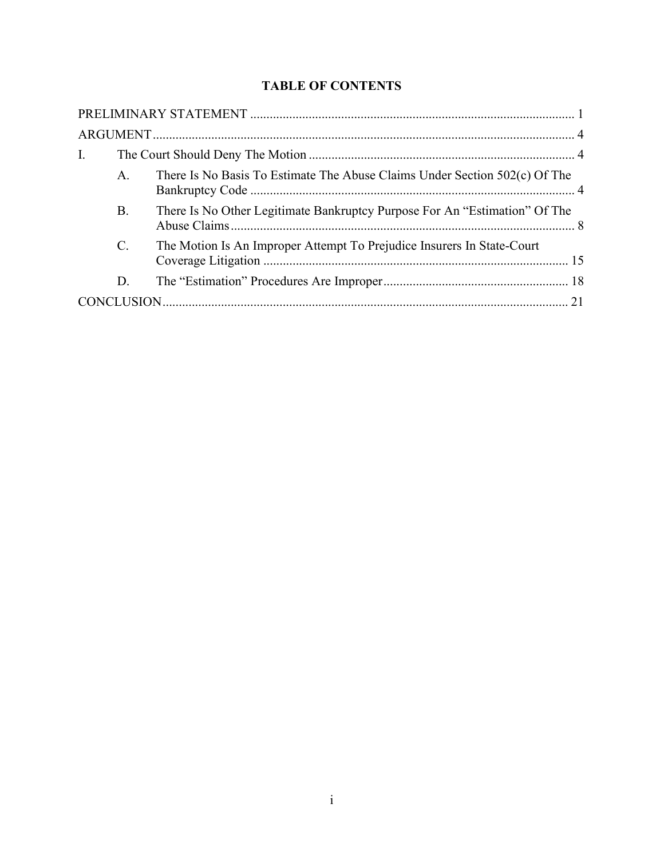# TABLE OF CONTENTS

| $\mathbf{I}$ . |                 |                                                                            |  |
|----------------|-----------------|----------------------------------------------------------------------------|--|
|                | $\mathsf{A}$ .  | There Is No Basis To Estimate The Abuse Claims Under Section 502(c) Of The |  |
|                | <b>B.</b>       | There Is No Other Legitimate Bankruptcy Purpose For An "Estimation" Of The |  |
|                | $\mathcal{C}$ . | The Motion Is An Improper Attempt To Prejudice Insurers In State-Court     |  |
|                | D.              |                                                                            |  |
|                |                 |                                                                            |  |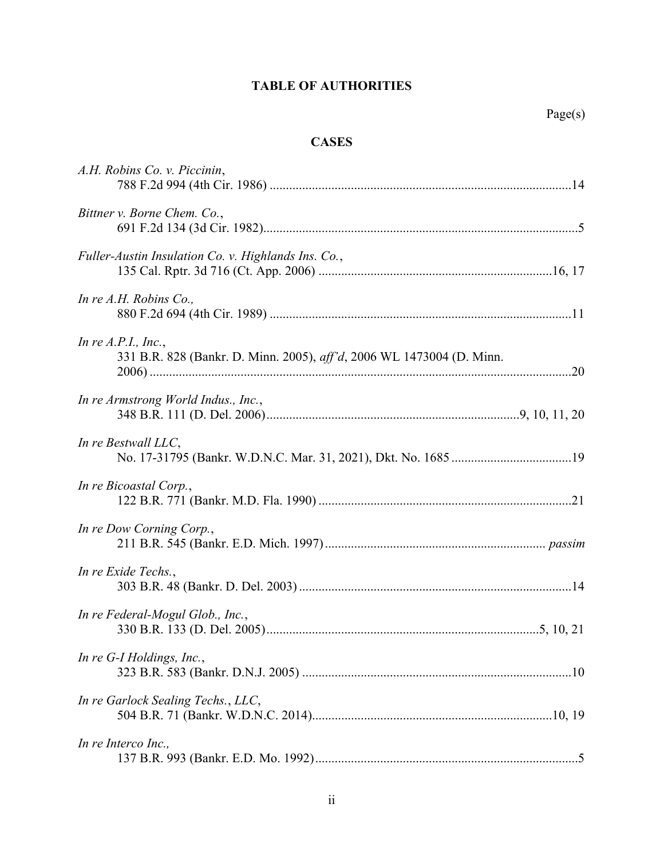# TABLE OF AUTHORITIES

# **CASES**

| A.H. Robins Co. v. Piccinin,                                                                   |  |
|------------------------------------------------------------------------------------------------|--|
| Bittner v. Borne Chem. Co.,                                                                    |  |
| Fuller-Austin Insulation Co. v. Highlands Ins. Co.,                                            |  |
| In re $A.H.$ Robins Co.,                                                                       |  |
| In re $A.P.I., Inc.,$<br>331 B.R. 828 (Bankr. D. Minn. 2005), aff'd, 2006 WL 1473004 (D. Minn. |  |
| In re Armstrong World Indus., Inc.,                                                            |  |
| In re Bestwall LLC,                                                                            |  |
| In re Bicoastal Corp.,                                                                         |  |
| In re Dow Corning Corp.,                                                                       |  |
| In re Exide Techs.,                                                                            |  |
| In re Federal-Mogul Glob., Inc.,                                                               |  |
| In re G-I Holdings, Inc.,                                                                      |  |
| In re Garlock Sealing Techs., LLC,                                                             |  |
| In re Interco Inc.,                                                                            |  |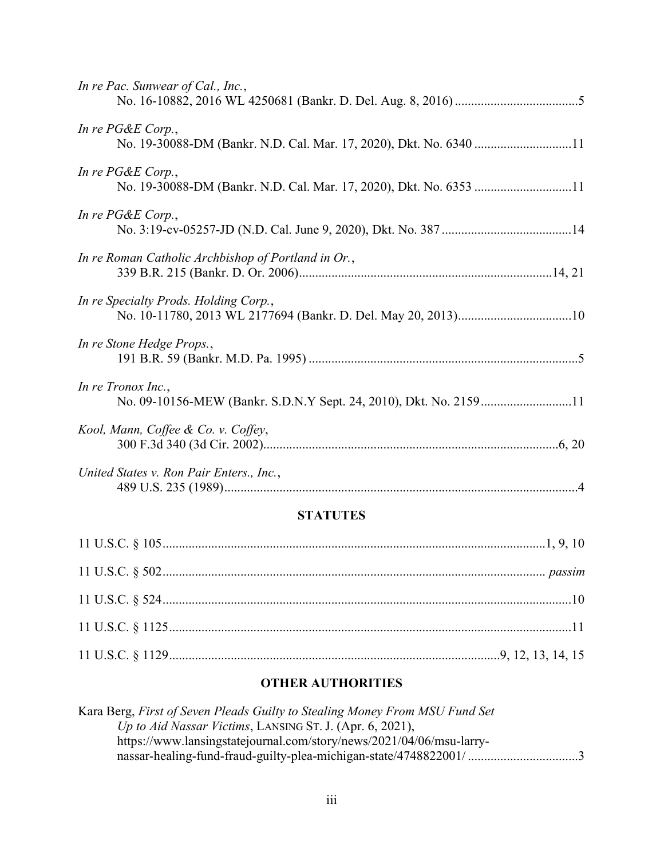| In re Pac. Sunwear of Cal., Inc.,                                                       |
|-----------------------------------------------------------------------------------------|
| In re PG&E Corp.,                                                                       |
| In re PG&E Corp.,                                                                       |
| In re PG&E Corp.,                                                                       |
| In re Roman Catholic Archbishop of Portland in Or.,                                     |
| In re Specialty Prods. Holding Corp.,                                                   |
| In re Stone Hedge Props.,                                                               |
| In re Tronox Inc.,<br>No. 09-10156-MEW (Bankr. S.D.N.Y Sept. 24, 2010), Dkt. No. 215911 |
| Kool, Mann, Coffee & Co. v. Coffey,                                                     |
| United States v. Ron Pair Enters., Inc.,                                                |

# **STATUTES**

# OTHER AUTHORITIES

| Kara Berg, First of Seven Pleads Guilty to Stealing Money From MSU Fund Set |  |
|-----------------------------------------------------------------------------|--|
| Up to Aid Nassar Victims, LANSING ST. J. (Apr. 6, 2021),                    |  |
| https://www.lansingstatejournal.com/story/news/2021/04/06/msu-larry-        |  |
|                                                                             |  |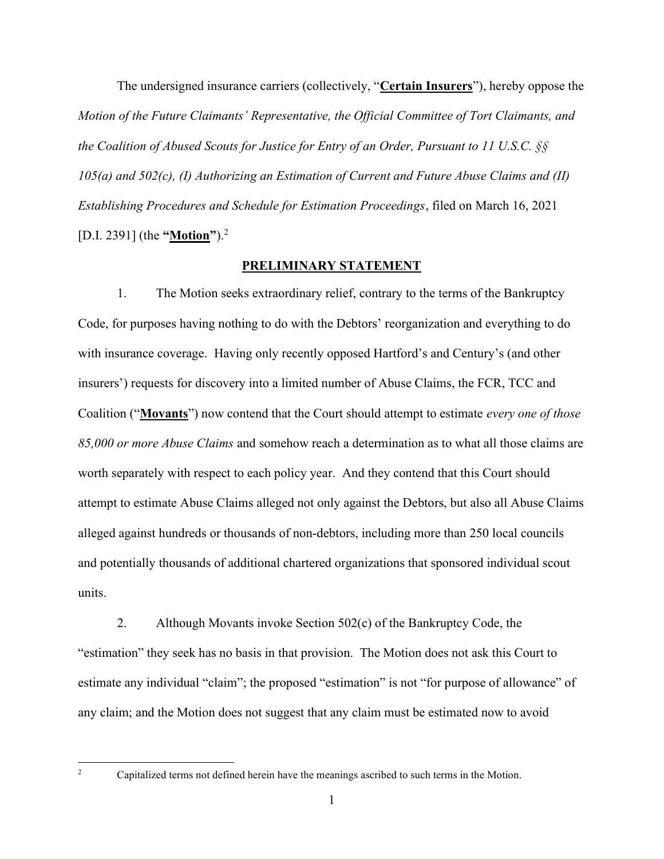The undersigned insurance carriers (collectively, "**Certain Insurers**"), hereby oppose the Motion of the Future Claimants' Representative, the Official Committee of Tort Claimants, and the Coalition of Abused Scouts for Justice for Entry of an Order, Pursuant to 11 U.S.C. §§ 105(a) and 502(c), (I) Authorizing an Estimation of Current and Future Abuse Claims and (II) Establishing Procedures and Schedule for Estimation Proceedings, filed on March 16, 2021 [D.I. 2391] (the "**Motion**").<sup>2</sup>

#### PRELIMINARY STATEMENT

1. The Motion seeks extraordinary relief, contrary to the terms of the Bankruptcy Code, for purposes having nothing to do with the Debtors' reorganization and everything to do with insurance coverage. Having only recently opposed Hartford's and Century's (and other insurers') requests for discovery into a limited number of Abuse Claims, the FCR, TCC and Coalition ("Movants") now contend that the Court should attempt to estimate every one of those 85,000 or more Abuse Claims and somehow reach a determination as to what all those claims are worth separately with respect to each policy year. And they contend that this Court should attempt to estimate Abuse Claims alleged not only against the Debtors, but also all Abuse Claims alleged against hundreds or thousands of non-debtors, including more than 250 local councils and potentially thousands of additional chartered organizations that sponsored individual scout units.

2. Although Movants invoke Section 502(c) of the Bankruptcy Code, the "estimation" they seek has no basis in that provision. The Motion does not ask this Court to estimate any individual "claim"; the proposed "estimation" is not "for purpose of allowance" of any claim; and the Motion does not suggest that any claim must be estimated now to avoid

Capitalized terms not defined herein have the meanings ascribed to such terms in the Motion.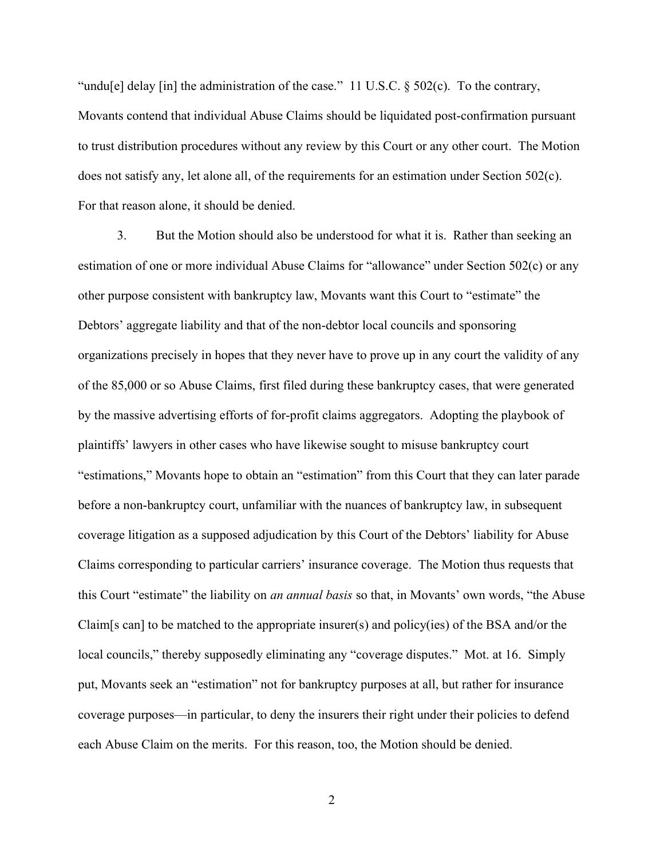"undu[e] delay [in] the administration of the case." 11 U.S.C. § 502(c). To the contrary, Movants contend that individual Abuse Claims should be liquidated post-confirmation pursuant to trust distribution procedures without any review by this Court or any other court. The Motion does not satisfy any, let alone all, of the requirements for an estimation under Section 502(c). For that reason alone, it should be denied.

3. But the Motion should also be understood for what it is. Rather than seeking an estimation of one or more individual Abuse Claims for "allowance" under Section 502(c) or any other purpose consistent with bankruptcy law, Movants want this Court to "estimate" the Debtors' aggregate liability and that of the non-debtor local councils and sponsoring organizations precisely in hopes that they never have to prove up in any court the validity of any of the 85,000 or so Abuse Claims, first filed during these bankruptcy cases, that were generated by the massive advertising efforts of for-profit claims aggregators. Adopting the playbook of plaintiffs' lawyers in other cases who have likewise sought to misuse bankruptcy court "estimations," Movants hope to obtain an "estimation" from this Court that they can later parade before a non-bankruptcy court, unfamiliar with the nuances of bankruptcy law, in subsequent coverage litigation as a supposed adjudication by this Court of the Debtors' liability for Abuse Claims corresponding to particular carriers' insurance coverage. The Motion thus requests that this Court "estimate" the liability on *an annual basis* so that, in Movants' own words, "the Abuse Claim[s can] to be matched to the appropriate insurer(s) and policy(ies) of the BSA and/or the local councils," thereby supposedly eliminating any "coverage disputes." Mot. at 16. Simply put, Movants seek an "estimation" not for bankruptcy purposes at all, but rather for insurance coverage purposes—in particular, to deny the insurers their right under their policies to defend each Abuse Claim on the merits. For this reason, too, the Motion should be denied.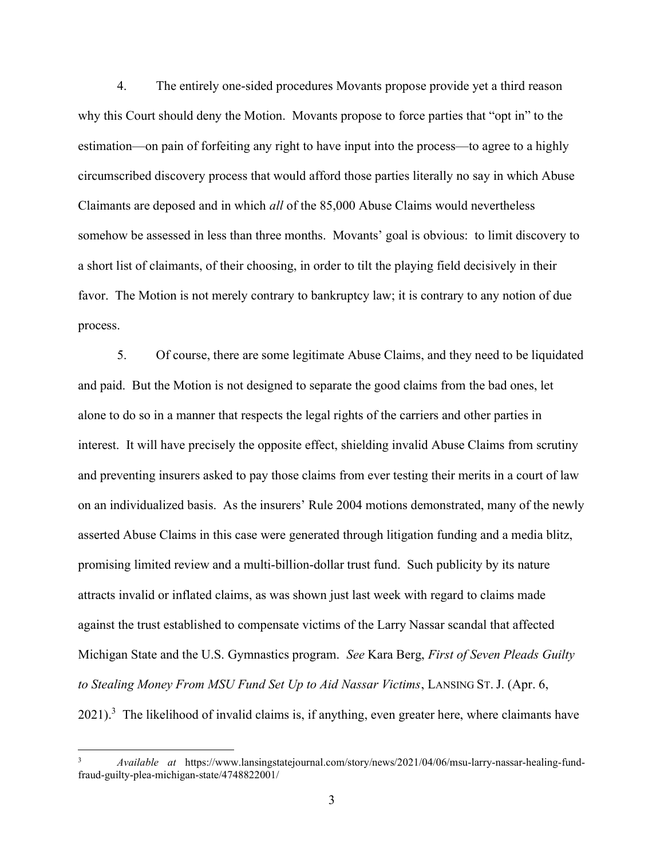4. The entirely one-sided procedures Movants propose provide yet a third reason why this Court should deny the Motion. Movants propose to force parties that "opt in" to the estimation—on pain of forfeiting any right to have input into the process—to agree to a highly circumscribed discovery process that would afford those parties literally no say in which Abuse Claimants are deposed and in which all of the 85,000 Abuse Claims would nevertheless somehow be assessed in less than three months. Movants' goal is obvious: to limit discovery to a short list of claimants, of their choosing, in order to tilt the playing field decisively in their favor. The Motion is not merely contrary to bankruptcy law; it is contrary to any notion of due process.

5. Of course, there are some legitimate Abuse Claims, and they need to be liquidated and paid. But the Motion is not designed to separate the good claims from the bad ones, let alone to do so in a manner that respects the legal rights of the carriers and other parties in interest. It will have precisely the opposite effect, shielding invalid Abuse Claims from scrutiny and preventing insurers asked to pay those claims from ever testing their merits in a court of law on an individualized basis. As the insurers' Rule 2004 motions demonstrated, many of the newly asserted Abuse Claims in this case were generated through litigation funding and a media blitz, promising limited review and a multi-billion-dollar trust fund. Such publicity by its nature attracts invalid or inflated claims, as was shown just last week with regard to claims made against the trust established to compensate victims of the Larry Nassar scandal that affected Michigan State and the U.S. Gymnastics program. See Kara Berg, *First of Seven Pleads Guilty* to Stealing Money From MSU Fund Set Up to Aid Nassar Victims, LANSING ST. J. (Apr. 6,  $2021$ ).<sup>3</sup> The likelihood of invalid claims is, if anything, even greater here, where claimants have

<sup>3</sup> Available at https://www.lansingstatejournal.com/story/news/2021/04/06/msu-larry-nassar-healing-fundfraud-guilty-plea-michigan-state/4748822001/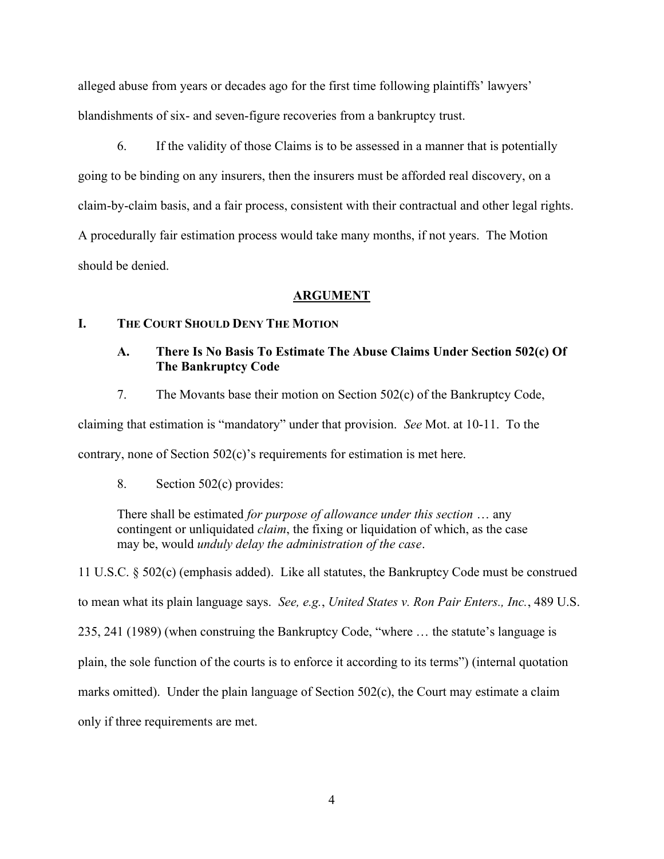alleged abuse from years or decades ago for the first time following plaintiffs' lawyers' blandishments of six- and seven-figure recoveries from a bankruptcy trust.

6. If the validity of those Claims is to be assessed in a manner that is potentially going to be binding on any insurers, then the insurers must be afforded real discovery, on a claim-by-claim basis, and a fair process, consistent with their contractual and other legal rights. A procedurally fair estimation process would take many months, if not years. The Motion should be denied.

#### ARGUMENT

#### I. THE COURT SHOULD DENY THE MOTION

## A. There Is No Basis To Estimate The Abuse Claims Under Section 502(c) Of The Bankruptcy Code

7. The Movants base their motion on Section 502(c) of the Bankruptcy Code,

claiming that estimation is "mandatory" under that provision. See Mot. at 10-11. To the

contrary, none of Section 502(c)'s requirements for estimation is met here.

8. Section 502(c) provides:

There shall be estimated for purpose of allowance under this section ... any contingent or unliquidated *claim*, the fixing or liquidation of which, as the case may be, would unduly delay the administration of the case.

11 U.S.C. § 502(c) (emphasis added). Like all statutes, the Bankruptcy Code must be construed to mean what its plain language says. See, e.g., United States v. Ron Pair Enters., Inc., 489 U.S. 235, 241 (1989) (when construing the Bankruptcy Code, "where … the statute's language is plain, the sole function of the courts is to enforce it according to its terms") (internal quotation marks omitted). Under the plain language of Section 502(c), the Court may estimate a claim only if three requirements are met.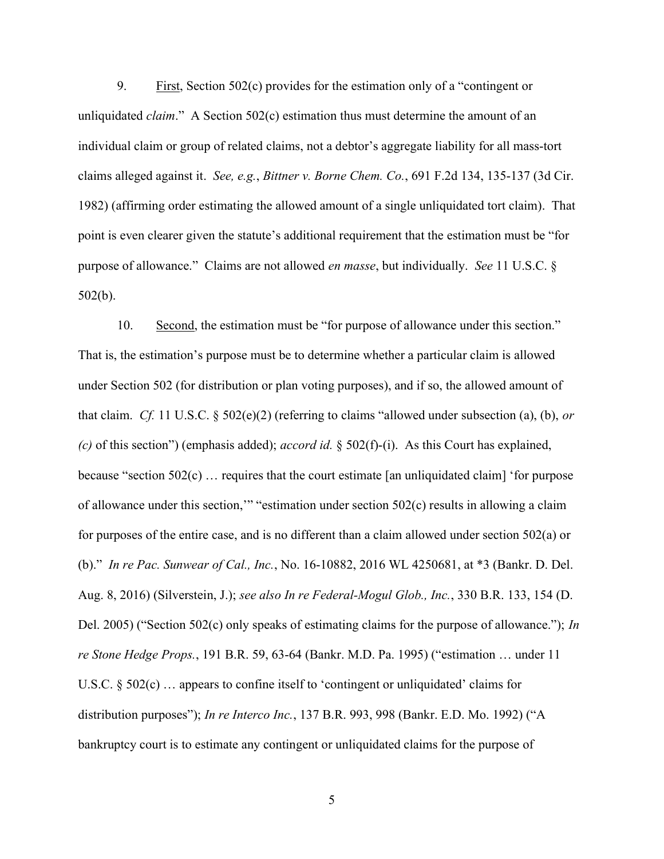9. First, Section 502(c) provides for the estimation only of a "contingent or unliquidated *claim*." A Section  $502(c)$  estimation thus must determine the amount of an individual claim or group of related claims, not a debtor's aggregate liability for all mass-tort claims alleged against it. See, e.g., Bittner v. Borne Chem. Co., 691 F.2d 134, 135-137 (3d Cir. 1982) (affirming order estimating the allowed amount of a single unliquidated tort claim). That point is even clearer given the statute's additional requirement that the estimation must be "for purpose of allowance." Claims are not allowed en masse, but individually. See 11 U.S.C. § 502(b).

10. Second, the estimation must be "for purpose of allowance under this section." That is, the estimation's purpose must be to determine whether a particular claim is allowed under Section 502 (for distribution or plan voting purposes), and if so, the allowed amount of that claim. Cf. 11 U.S.C. § 502(e)(2) (referring to claims "allowed under subsection (a), (b), or (c) of this section") (emphasis added); *accord id.* § 502(f)-(i). As this Court has explained, because "section  $502(c)$ ... requires that the court estimate [an unliquidated claim] 'for purpose of allowance under this section,'" "estimation under section 502(c) results in allowing a claim for purposes of the entire case, and is no different than a claim allowed under section 502(a) or (b)." In re Pac. Sunwear of Cal., Inc., No. 16-10882, 2016 WL 4250681, at \*3 (Bankr. D. Del. Aug. 8, 2016) (Silverstein, J.); see also In re Federal-Mogul Glob., Inc., 330 B.R. 133, 154 (D. Del. 2005) ("Section 502(c) only speaks of estimating claims for the purpose of allowance."); In re Stone Hedge Props., 191 B.R. 59, 63-64 (Bankr. M.D. Pa. 1995) ("estimation … under 11 U.S.C. § 502(c) ... appears to confine itself to 'contingent or unliquidated' claims for distribution purposes"); In re Interco Inc., 137 B.R. 993, 998 (Bankr. E.D. Mo. 1992) ("A bankruptcy court is to estimate any contingent or unliquidated claims for the purpose of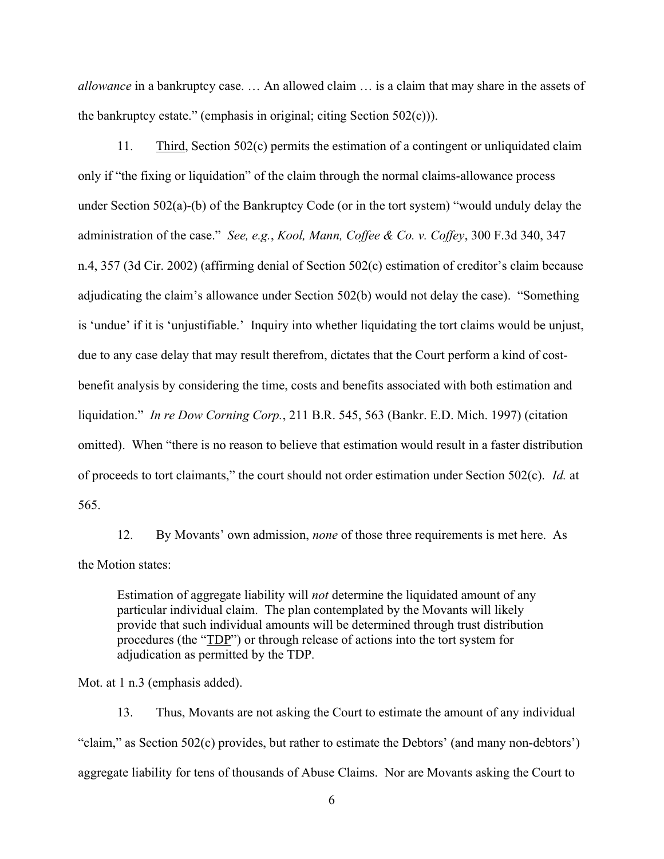allowance in a bankruptcy case. ... An allowed claim ... is a claim that may share in the assets of the bankruptcy estate." (emphasis in original; citing Section 502(c))).

11. Third, Section 502(c) permits the estimation of a contingent or unliquidated claim only if "the fixing or liquidation" of the claim through the normal claims-allowance process under Section 502(a)-(b) of the Bankruptcy Code (or in the tort system) "would unduly delay the administration of the case." See, e.g., Kool, Mann, Coffee & Co. v. Coffey, 300 F.3d 340, 347 n.4, 357 (3d Cir. 2002) (affirming denial of Section 502(c) estimation of creditor's claim because adjudicating the claim's allowance under Section 502(b) would not delay the case). "Something is 'undue' if it is 'unjustifiable.' Inquiry into whether liquidating the tort claims would be unjust, due to any case delay that may result therefrom, dictates that the Court perform a kind of costbenefit analysis by considering the time, costs and benefits associated with both estimation and liquidation." In re Dow Corning Corp., 211 B.R. 545, 563 (Bankr. E.D. Mich. 1997) (citation omitted). When "there is no reason to believe that estimation would result in a faster distribution of proceeds to tort claimants," the court should not order estimation under Section 502(c). Id. at 565.

12. By Movants' own admission, none of those three requirements is met here. As the Motion states:

Estimation of aggregate liability will not determine the liquidated amount of any particular individual claim. The plan contemplated by the Movants will likely provide that such individual amounts will be determined through trust distribution procedures (the "TDP") or through release of actions into the tort system for adjudication as permitted by the TDP.

Mot. at 1 n.3 (emphasis added).

13. Thus, Movants are not asking the Court to estimate the amount of any individual "claim," as Section 502(c) provides, but rather to estimate the Debtors' (and many non-debtors') aggregate liability for tens of thousands of Abuse Claims. Nor are Movants asking the Court to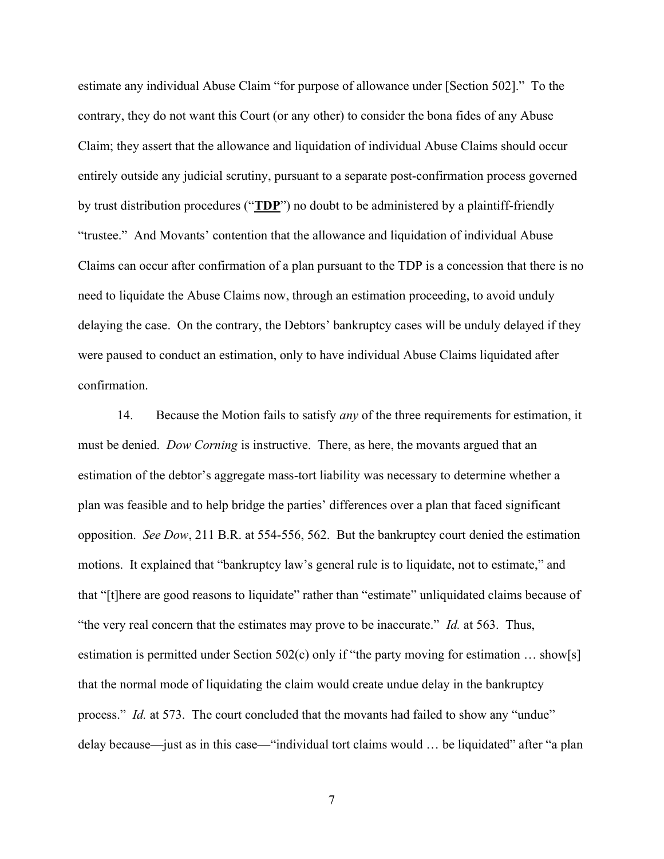estimate any individual Abuse Claim "for purpose of allowance under [Section 502]." To the contrary, they do not want this Court (or any other) to consider the bona fides of any Abuse Claim; they assert that the allowance and liquidation of individual Abuse Claims should occur entirely outside any judicial scrutiny, pursuant to a separate post-confirmation process governed by trust distribution procedures ("TDP") no doubt to be administered by a plaintiff-friendly "trustee." And Movants' contention that the allowance and liquidation of individual Abuse Claims can occur after confirmation of a plan pursuant to the TDP is a concession that there is no need to liquidate the Abuse Claims now, through an estimation proceeding, to avoid unduly delaying the case. On the contrary, the Debtors' bankruptcy cases will be unduly delayed if they were paused to conduct an estimation, only to have individual Abuse Claims liquidated after confirmation.

14. Because the Motion fails to satisfy *any* of the three requirements for estimation, it must be denied. Dow Corning is instructive. There, as here, the movants argued that an estimation of the debtor's aggregate mass-tort liability was necessary to determine whether a plan was feasible and to help bridge the parties' differences over a plan that faced significant opposition. See Dow, 211 B.R. at 554-556, 562. But the bankruptcy court denied the estimation motions. It explained that "bankruptcy law's general rule is to liquidate, not to estimate," and that "[t]here are good reasons to liquidate" rather than "estimate" unliquidated claims because of "the very real concern that the estimates may prove to be inaccurate." *Id.* at 563. Thus, estimation is permitted under Section 502(c) only if "the party moving for estimation … show[s] that the normal mode of liquidating the claim would create undue delay in the bankruptcy process." Id. at 573. The court concluded that the movants had failed to show any "undue" delay because—just as in this case—"individual tort claims would ... be liquidated" after "a plan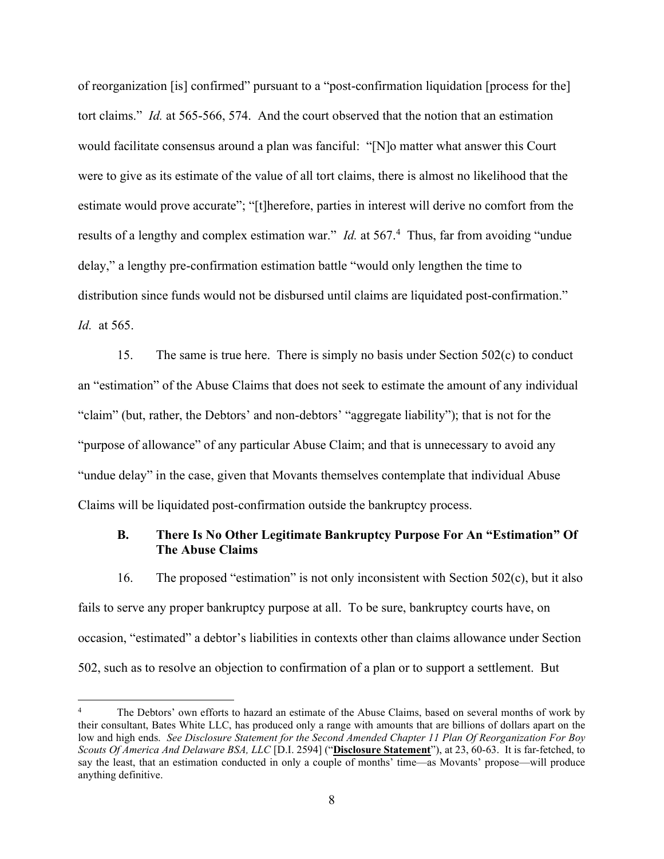of reorganization [is] confirmed" pursuant to a "post-confirmation liquidation [process for the] tort claims." Id. at 565-566, 574. And the court observed that the notion that an estimation would facilitate consensus around a plan was fanciful: "[N]o matter what answer this Court were to give as its estimate of the value of all tort claims, there is almost no likelihood that the estimate would prove accurate"; "[t]herefore, parties in interest will derive no comfort from the results of a lengthy and complex estimation war." *Id.* at 567.<sup>4</sup> Thus, far from avoiding "undue delay," a lengthy pre-confirmation estimation battle "would only lengthen the time to distribution since funds would not be disbursed until claims are liquidated post-confirmation." Id. at 565.

15. The same is true here. There is simply no basis under Section 502(c) to conduct an "estimation" of the Abuse Claims that does not seek to estimate the amount of any individual "claim" (but, rather, the Debtors' and non-debtors' "aggregate liability"); that is not for the "purpose of allowance" of any particular Abuse Claim; and that is unnecessary to avoid any "undue delay" in the case, given that Movants themselves contemplate that individual Abuse Claims will be liquidated post-confirmation outside the bankruptcy process.

## B. There Is No Other Legitimate Bankruptcy Purpose For An "Estimation" Of The Abuse Claims

16. The proposed "estimation" is not only inconsistent with Section 502(c), but it also fails to serve any proper bankruptcy purpose at all. To be sure, bankruptcy courts have, on occasion, "estimated" a debtor's liabilities in contexts other than claims allowance under Section 502, such as to resolve an objection to confirmation of a plan or to support a settlement. But

<sup>4</sup> The Debtors' own efforts to hazard an estimate of the Abuse Claims, based on several months of work by their consultant, Bates White LLC, has produced only a range with amounts that are billions of dollars apart on the low and high ends. See Disclosure Statement for the Second Amended Chapter 11 Plan Of Reorganization For Boy Scouts Of America And Delaware BSA, LLC [D.I. 2594] ("Disclosure Statement"), at 23, 60-63. It is far-fetched, to say the least, that an estimation conducted in only a couple of months' time—as Movants' propose—will produce anything definitive.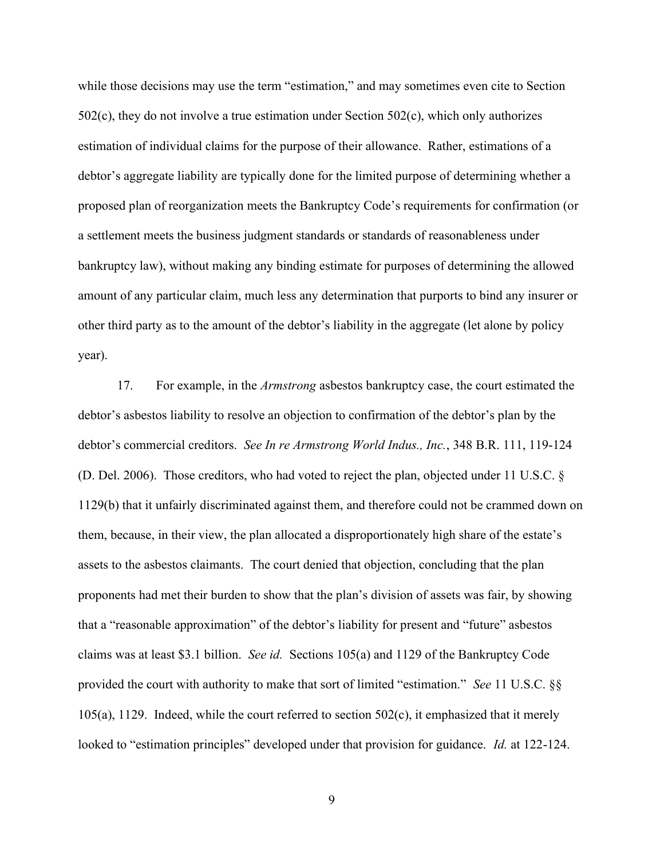while those decisions may use the term "estimation," and may sometimes even cite to Section 502(c), they do not involve a true estimation under Section 502(c), which only authorizes estimation of individual claims for the purpose of their allowance. Rather, estimations of a debtor's aggregate liability are typically done for the limited purpose of determining whether a proposed plan of reorganization meets the Bankruptcy Code's requirements for confirmation (or a settlement meets the business judgment standards or standards of reasonableness under bankruptcy law), without making any binding estimate for purposes of determining the allowed amount of any particular claim, much less any determination that purports to bind any insurer or other third party as to the amount of the debtor's liability in the aggregate (let alone by policy year).

17. For example, in the Armstrong asbestos bankruptcy case, the court estimated the debtor's asbestos liability to resolve an objection to confirmation of the debtor's plan by the debtor's commercial creditors. See In re Armstrong World Indus., Inc., 348 B.R. 111, 119-124 (D. Del. 2006). Those creditors, who had voted to reject the plan, objected under 11 U.S.C. § 1129(b) that it unfairly discriminated against them, and therefore could not be crammed down on them, because, in their view, the plan allocated a disproportionately high share of the estate's assets to the asbestos claimants. The court denied that objection, concluding that the plan proponents had met their burden to show that the plan's division of assets was fair, by showing that a "reasonable approximation" of the debtor's liability for present and "future" asbestos claims was at least \$3.1 billion. See id. Sections 105(a) and 1129 of the Bankruptcy Code provided the court with authority to make that sort of limited "estimation." See 11 U.S.C. §§  $105(a)$ , 1129. Indeed, while the court referred to section  $502(c)$ , it emphasized that it merely looked to "estimation principles" developed under that provision for guidance. *Id.* at 122-124.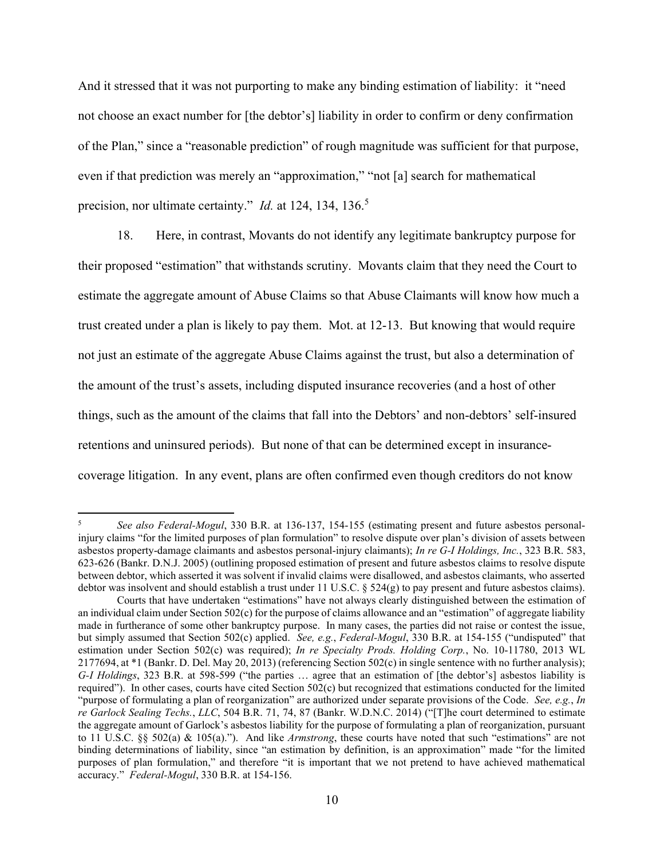And it stressed that it was not purporting to make any binding estimation of liability: it "need not choose an exact number for [the debtor's] liability in order to confirm or deny confirmation of the Plan," since a "reasonable prediction" of rough magnitude was sufficient for that purpose, even if that prediction was merely an "approximation," "not [a] search for mathematical precision, nor ultimate certainty." *Id.* at 124, 134, 136.<sup>5</sup>

18. Here, in contrast, Movants do not identify any legitimate bankruptcy purpose for their proposed "estimation" that withstands scrutiny. Movants claim that they need the Court to estimate the aggregate amount of Abuse Claims so that Abuse Claimants will know how much a trust created under a plan is likely to pay them. Mot. at 12-13. But knowing that would require not just an estimate of the aggregate Abuse Claims against the trust, but also a determination of the amount of the trust's assets, including disputed insurance recoveries (and a host of other things, such as the amount of the claims that fall into the Debtors' and non-debtors' self-insured retentions and uninsured periods). But none of that can be determined except in insurancecoverage litigation. In any event, plans are often confirmed even though creditors do not know

<sup>5</sup> See also Federal-Mogul, 330 B.R. at 136-137, 154-155 (estimating present and future asbestos personalinjury claims "for the limited purposes of plan formulation" to resolve dispute over plan's division of assets between asbestos property-damage claimants and asbestos personal-injury claimants); In re G-I Holdings, Inc., 323 B.R. 583, 623-626 (Bankr. D.N.J. 2005) (outlining proposed estimation of present and future asbestos claims to resolve dispute between debtor, which asserted it was solvent if invalid claims were disallowed, and asbestos claimants, who asserted debtor was insolvent and should establish a trust under 11 U.S.C. § 524(g) to pay present and future asbestos claims).

Courts that have undertaken "estimations" have not always clearly distinguished between the estimation of an individual claim under Section 502(c) for the purpose of claims allowance and an "estimation" of aggregate liability made in furtherance of some other bankruptcy purpose. In many cases, the parties did not raise or contest the issue, but simply assumed that Section 502(c) applied. See, e.g., Federal-Mogul, 330 B.R. at 154-155 ("undisputed" that estimation under Section 502(c) was required); In re Specialty Prods. Holding Corp., No. 10-11780, 2013 WL 2177694, at \*1 (Bankr. D. Del. May 20, 2013) (referencing Section 502(c) in single sentence with no further analysis); G-I Holdings, 323 B.R. at 598-599 ("the parties … agree that an estimation of [the debtor's] asbestos liability is required"). In other cases, courts have cited Section 502(c) but recognized that estimations conducted for the limited "purpose of formulating a plan of reorganization" are authorized under separate provisions of the Code. See, e.g., In re Garlock Sealing Techs., LLC, 504 B.R. 71, 74, 87 (Bankr. W.D.N.C. 2014) ("[T]he court determined to estimate the aggregate amount of Garlock's asbestos liability for the purpose of formulating a plan of reorganization, pursuant to 11 U.S.C. §§ 502(a) & 105(a)."). And like Armstrong, these courts have noted that such "estimations" are not binding determinations of liability, since "an estimation by definition, is an approximation" made "for the limited purposes of plan formulation," and therefore "it is important that we not pretend to have achieved mathematical accuracy." Federal-Mogul, 330 B.R. at 154-156.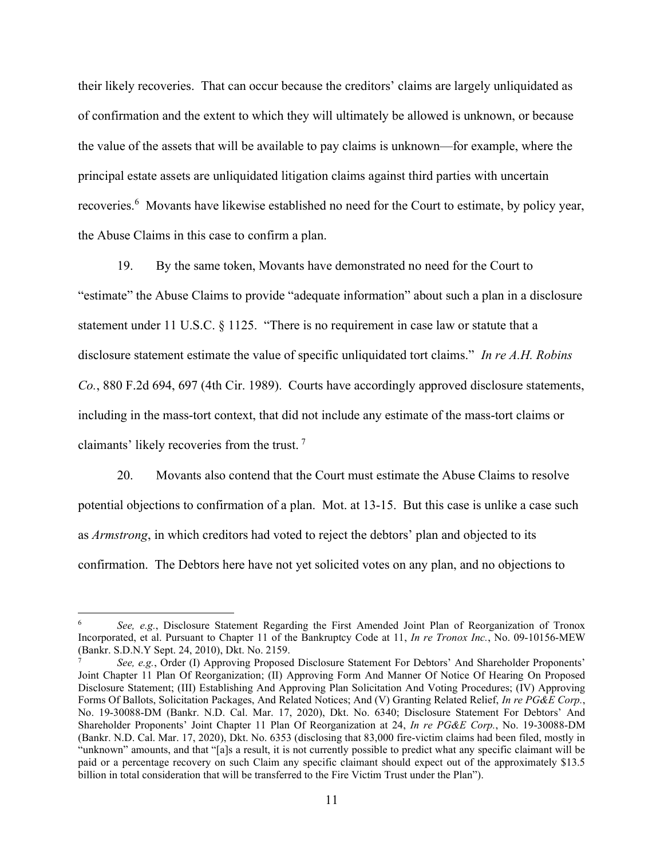their likely recoveries. That can occur because the creditors' claims are largely unliquidated as of confirmation and the extent to which they will ultimately be allowed is unknown, or because the value of the assets that will be available to pay claims is unknown—for example, where the principal estate assets are unliquidated litigation claims against third parties with uncertain recoveries.<sup>6</sup> Movants have likewise established no need for the Court to estimate, by policy year, the Abuse Claims in this case to confirm a plan.

19. By the same token, Movants have demonstrated no need for the Court to "estimate" the Abuse Claims to provide "adequate information" about such a plan in a disclosure statement under 11 U.S.C. § 1125. "There is no requirement in case law or statute that a disclosure statement estimate the value of specific unliquidated tort claims." In re A.H. Robins Co., 880 F.2d 694, 697 (4th Cir. 1989). Courts have accordingly approved disclosure statements, including in the mass-tort context, that did not include any estimate of the mass-tort claims or claimants' likely recoveries from the trust.<sup>7</sup>

20. Movants also contend that the Court must estimate the Abuse Claims to resolve potential objections to confirmation of a plan. Mot. at 13-15. But this case is unlike a case such as Armstrong, in which creditors had voted to reject the debtors' plan and objected to its confirmation. The Debtors here have not yet solicited votes on any plan, and no objections to

<sup>6</sup> See, e.g., Disclosure Statement Regarding the First Amended Joint Plan of Reorganization of Tronox Incorporated, et al. Pursuant to Chapter 11 of the Bankruptcy Code at 11, In re Tronox Inc., No. 09-10156-MEW (Bankr. S.D.N.Y Sept. 24, 2010), Dkt. No. 2159.

<sup>7</sup> See, e.g., Order (I) Approving Proposed Disclosure Statement For Debtors' And Shareholder Proponents' Joint Chapter 11 Plan Of Reorganization; (II) Approving Form And Manner Of Notice Of Hearing On Proposed Disclosure Statement; (III) Establishing And Approving Plan Solicitation And Voting Procedures; (IV) Approving Forms Of Ballots, Solicitation Packages, And Related Notices; And (V) Granting Related Relief, In re PG&E Corp., No. 19-30088-DM (Bankr. N.D. Cal. Mar. 17, 2020), Dkt. No. 6340; Disclosure Statement For Debtors' And Shareholder Proponents' Joint Chapter 11 Plan Of Reorganization at 24, In re PG&E Corp., No. 19-30088-DM (Bankr. N.D. Cal. Mar. 17, 2020), Dkt. No. 6353 (disclosing that 83,000 fire-victim claims had been filed, mostly in "unknown" amounts, and that "[a]s a result, it is not currently possible to predict what any specific claimant will be paid or a percentage recovery on such Claim any specific claimant should expect out of the approximately \$13.5 billion in total consideration that will be transferred to the Fire Victim Trust under the Plan").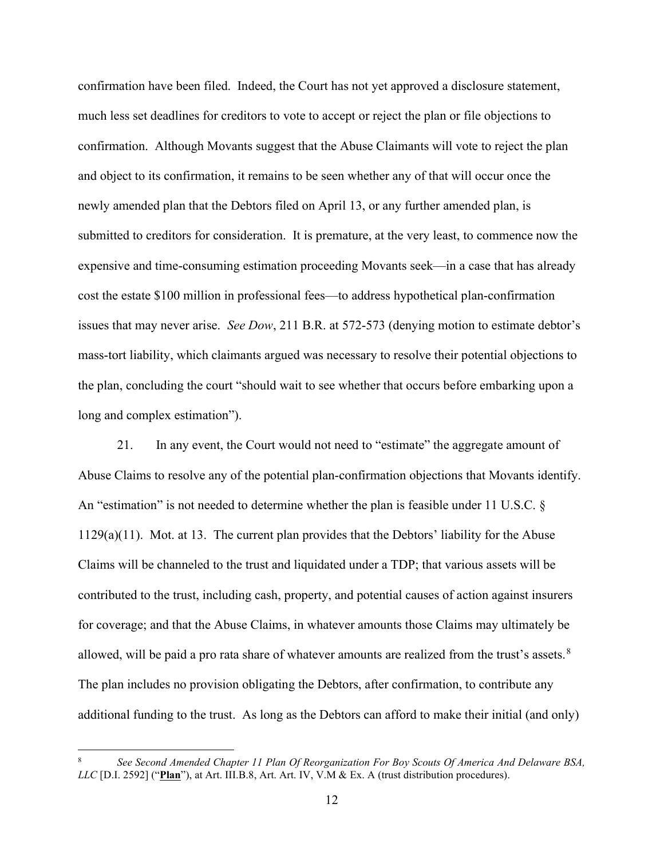confirmation have been filed. Indeed, the Court has not yet approved a disclosure statement, much less set deadlines for creditors to vote to accept or reject the plan or file objections to confirmation. Although Movants suggest that the Abuse Claimants will vote to reject the plan and object to its confirmation, it remains to be seen whether any of that will occur once the newly amended plan that the Debtors filed on April 13, or any further amended plan, is submitted to creditors for consideration. It is premature, at the very least, to commence now the expensive and time-consuming estimation proceeding Movants seek—in a case that has already cost the estate \$100 million in professional fees—to address hypothetical plan-confirmation issues that may never arise. *See Dow*, 211 B.R. at 572-573 (denying motion to estimate debtor's mass-tort liability, which claimants argued was necessary to resolve their potential objections to the plan, concluding the court "should wait to see whether that occurs before embarking upon a long and complex estimation").

21. In any event, the Court would not need to "estimate" the aggregate amount of Abuse Claims to resolve any of the potential plan-confirmation objections that Movants identify. An "estimation" is not needed to determine whether the plan is feasible under 11 U.S.C. § 1129(a)(11). Mot. at 13. The current plan provides that the Debtors' liability for the Abuse Claims will be channeled to the trust and liquidated under a TDP; that various assets will be contributed to the trust, including cash, property, and potential causes of action against insurers for coverage; and that the Abuse Claims, in whatever amounts those Claims may ultimately be allowed, will be paid a pro rata share of whatever amounts are realized from the trust's assets.<sup>8</sup> The plan includes no provision obligating the Debtors, after confirmation, to contribute any additional funding to the trust. As long as the Debtors can afford to make their initial (and only)

<sup>8</sup> See Second Amended Chapter 11 Plan Of Reorganization For Boy Scouts Of America And Delaware BSA,  $LLC$  [D.I. 2592] ("Plan"), at Art. III.B.8, Art. Art. IV, V.M & Ex. A (trust distribution procedures).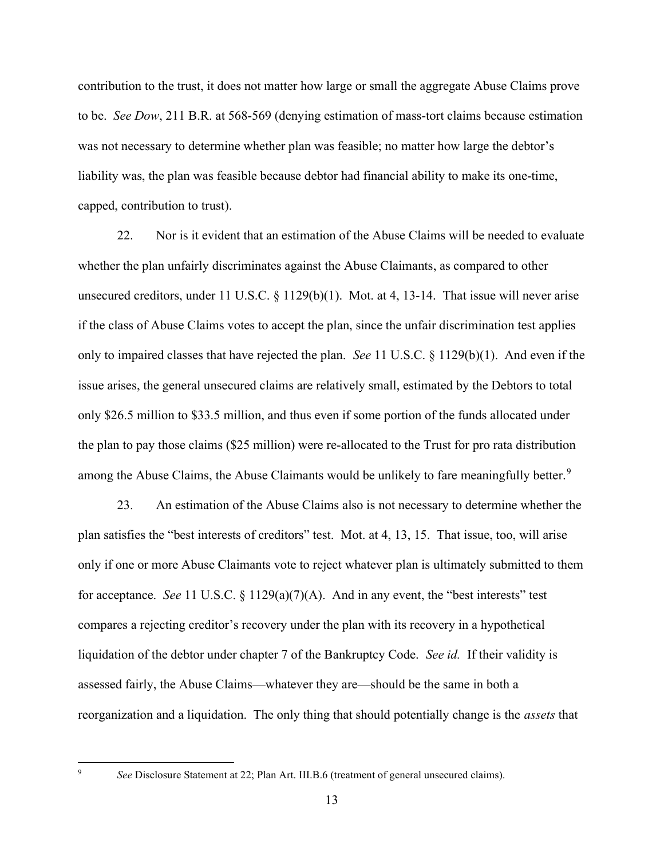contribution to the trust, it does not matter how large or small the aggregate Abuse Claims prove to be. See Dow, 211 B.R. at 568-569 (denying estimation of mass-tort claims because estimation was not necessary to determine whether plan was feasible; no matter how large the debtor's liability was, the plan was feasible because debtor had financial ability to make its one-time, capped, contribution to trust).

22. Nor is it evident that an estimation of the Abuse Claims will be needed to evaluate whether the plan unfairly discriminates against the Abuse Claimants, as compared to other unsecured creditors, under 11 U.S.C. § 1129(b)(1). Mot. at 4, 13-14. That issue will never arise if the class of Abuse Claims votes to accept the plan, since the unfair discrimination test applies only to impaired classes that have rejected the plan. See 11 U.S.C. § 1129(b)(1). And even if the issue arises, the general unsecured claims are relatively small, estimated by the Debtors to total only \$26.5 million to \$33.5 million, and thus even if some portion of the funds allocated under the plan to pay those claims (\$25 million) were re-allocated to the Trust for pro rata distribution among the Abuse Claims, the Abuse Claimants would be unlikely to fare meaningfully better.<sup>9</sup>

23. An estimation of the Abuse Claims also is not necessary to determine whether the plan satisfies the "best interests of creditors" test. Mot. at 4, 13, 15. That issue, too, will arise only if one or more Abuse Claimants vote to reject whatever plan is ultimately submitted to them for acceptance. See 11 U.S.C.  $\S 1129(a)(7)(A)$ . And in any event, the "best interests" test compares a rejecting creditor's recovery under the plan with its recovery in a hypothetical liquidation of the debtor under chapter 7 of the Bankruptcy Code. See id. If their validity is assessed fairly, the Abuse Claims—whatever they are—should be the same in both a reorganization and a liquidation. The only thing that should potentially change is the assets that

See Disclosure Statement at 22; Plan Art. III.B.6 (treatment of general unsecured claims).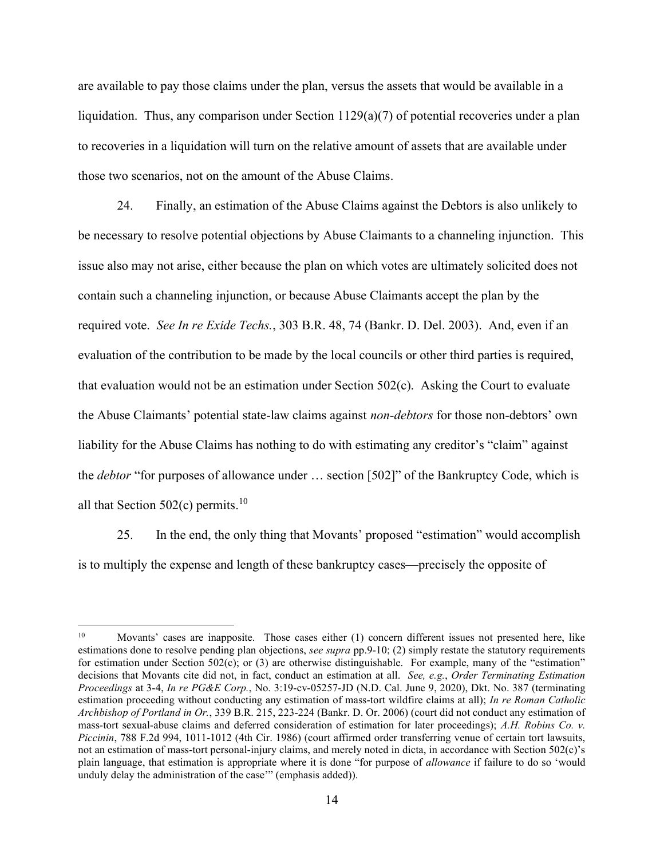are available to pay those claims under the plan, versus the assets that would be available in a liquidation. Thus, any comparison under Section 1129(a)(7) of potential recoveries under a plan to recoveries in a liquidation will turn on the relative amount of assets that are available under those two scenarios, not on the amount of the Abuse Claims.

24. Finally, an estimation of the Abuse Claims against the Debtors is also unlikely to be necessary to resolve potential objections by Abuse Claimants to a channeling injunction. This issue also may not arise, either because the plan on which votes are ultimately solicited does not contain such a channeling injunction, or because Abuse Claimants accept the plan by the required vote. See In re Exide Techs., 303 B.R. 48, 74 (Bankr. D. Del. 2003). And, even if an evaluation of the contribution to be made by the local councils or other third parties is required, that evaluation would not be an estimation under Section 502(c). Asking the Court to evaluate the Abuse Claimants' potential state-law claims against non-debtors for those non-debtors' own liability for the Abuse Claims has nothing to do with estimating any creditor's "claim" against the *debtor* "for purposes of allowance under ... section [502]" of the Bankruptcy Code, which is all that Section 502(c) permits.<sup>10</sup>

25. In the end, the only thing that Movants' proposed "estimation" would accomplish is to multiply the expense and length of these bankruptcy cases—precisely the opposite of

<sup>&</sup>lt;sup>10</sup> Movants' cases are inapposite. Those cases either (1) concern different issues not presented here, like estimations done to resolve pending plan objections, see supra pp.9-10; (2) simply restate the statutory requirements for estimation under Section 502(c); or (3) are otherwise distinguishable. For example, many of the "estimation" decisions that Movants cite did not, in fact, conduct an estimation at all. See, e.g., Order Terminating Estimation Proceedings at 3-4, In re PG&E Corp., No. 3:19-cv-05257-JD (N.D. Cal. June 9, 2020), Dkt. No. 387 (terminating estimation proceeding without conducting any estimation of mass-tort wildfire claims at all); In re Roman Catholic Archbishop of Portland in Or., 339 B.R. 215, 223-224 (Bankr. D. Or. 2006) (court did not conduct any estimation of mass-tort sexual-abuse claims and deferred consideration of estimation for later proceedings); A.H. Robins Co. v. Piccinin, 788 F.2d 994, 1011-1012 (4th Cir. 1986) (court affirmed order transferring venue of certain tort lawsuits, not an estimation of mass-tort personal-injury claims, and merely noted in dicta, in accordance with Section 502(c)'s plain language, that estimation is appropriate where it is done "for purpose of allowance if failure to do so 'would unduly delay the administration of the case'" (emphasis added)).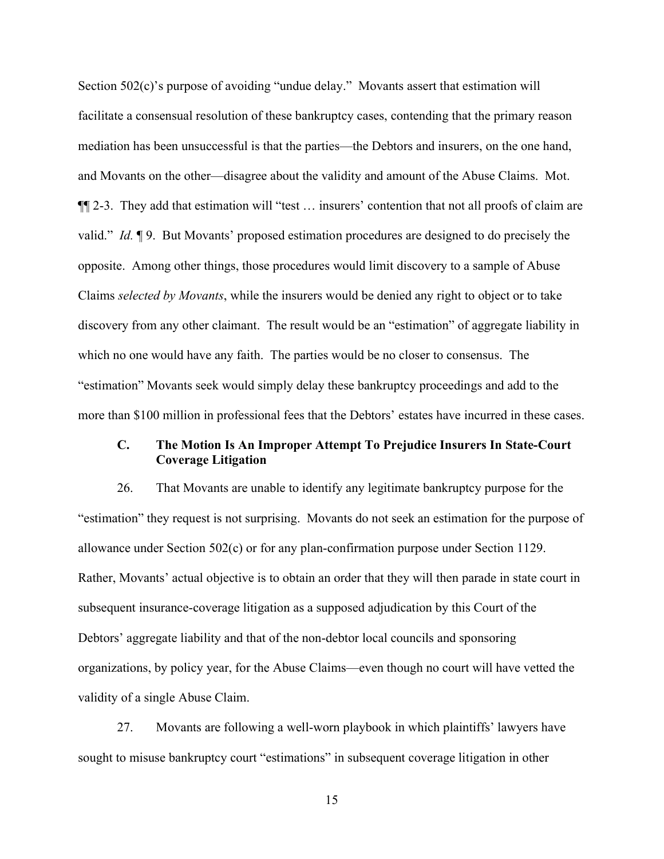Section 502(c)'s purpose of avoiding "undue delay." Movants assert that estimation will facilitate a consensual resolution of these bankruptcy cases, contending that the primary reason mediation has been unsuccessful is that the parties—the Debtors and insurers, on the one hand, and Movants on the other—disagree about the validity and amount of the Abuse Claims. Mot. ¶¶ 2-3. They add that estimation will "test … insurers' contention that not all proofs of claim are valid." Id. ¶ 9. But Movants' proposed estimation procedures are designed to do precisely the opposite. Among other things, those procedures would limit discovery to a sample of Abuse Claims selected by Movants, while the insurers would be denied any right to object or to take discovery from any other claimant. The result would be an "estimation" of aggregate liability in which no one would have any faith. The parties would be no closer to consensus. The "estimation" Movants seek would simply delay these bankruptcy proceedings and add to the more than \$100 million in professional fees that the Debtors' estates have incurred in these cases.

## C. The Motion Is An Improper Attempt To Prejudice Insurers In State-Court Coverage Litigation

26. That Movants are unable to identify any legitimate bankruptcy purpose for the "estimation" they request is not surprising. Movants do not seek an estimation for the purpose of allowance under Section 502(c) or for any plan-confirmation purpose under Section 1129. Rather, Movants' actual objective is to obtain an order that they will then parade in state court in subsequent insurance-coverage litigation as a supposed adjudication by this Court of the Debtors' aggregate liability and that of the non-debtor local councils and sponsoring organizations, by policy year, for the Abuse Claims—even though no court will have vetted the validity of a single Abuse Claim.

27. Movants are following a well-worn playbook in which plaintiffs' lawyers have sought to misuse bankruptcy court "estimations" in subsequent coverage litigation in other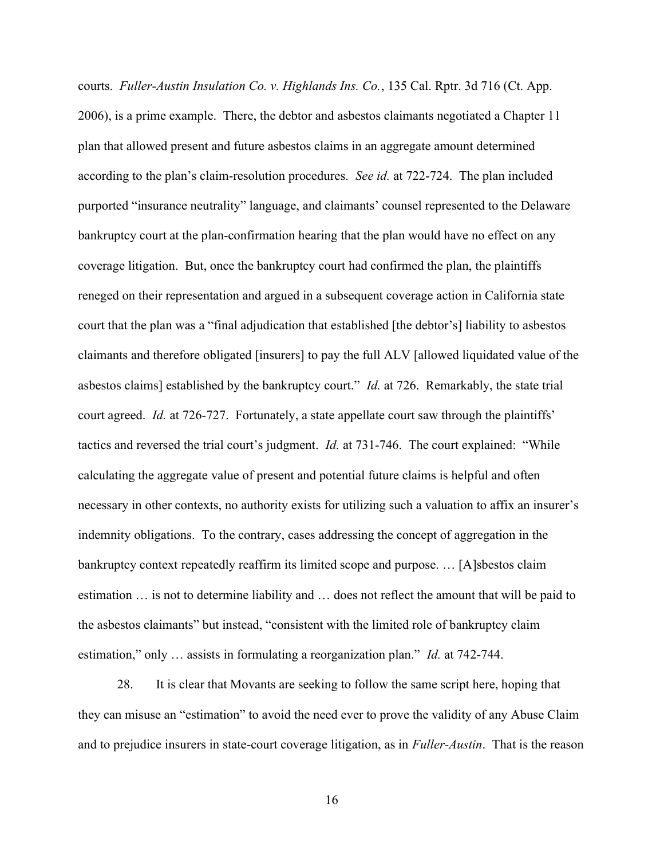courts. Fuller-Austin Insulation Co. v. Highlands Ins. Co., 135 Cal. Rptr. 3d 716 (Ct. App. 2006), is a prime example. There, the debtor and asbestos claimants negotiated a Chapter 11 plan that allowed present and future asbestos claims in an aggregate amount determined according to the plan's claim-resolution procedures. See id. at 722-724. The plan included purported "insurance neutrality" language, and claimants' counsel represented to the Delaware bankruptcy court at the plan-confirmation hearing that the plan would have no effect on any coverage litigation. But, once the bankruptcy court had confirmed the plan, the plaintiffs reneged on their representation and argued in a subsequent coverage action in California state court that the plan was a "final adjudication that established [the debtor's] liability to asbestos claimants and therefore obligated [insurers] to pay the full ALV [allowed liquidated value of the asbestos claims] established by the bankruptcy court." *Id.* at 726. Remarkably, the state trial court agreed. *Id.* at 726-727. Fortunately, a state appellate court saw through the plaintiffs' tactics and reversed the trial court's judgment. Id. at 731-746. The court explained: "While calculating the aggregate value of present and potential future claims is helpful and often necessary in other contexts, no authority exists for utilizing such a valuation to affix an insurer's indemnity obligations. To the contrary, cases addressing the concept of aggregation in the bankruptcy context repeatedly reaffirm its limited scope and purpose. … [A]sbestos claim estimation … is not to determine liability and … does not reflect the amount that will be paid to the asbestos claimants" but instead, "consistent with the limited role of bankruptcy claim estimation," only … assists in formulating a reorganization plan." Id. at 742-744.

28. It is clear that Movants are seeking to follow the same script here, hoping that they can misuse an "estimation" to avoid the need ever to prove the validity of any Abuse Claim and to prejudice insurers in state-court coverage litigation, as in *Fuller-Austin*. That is the reason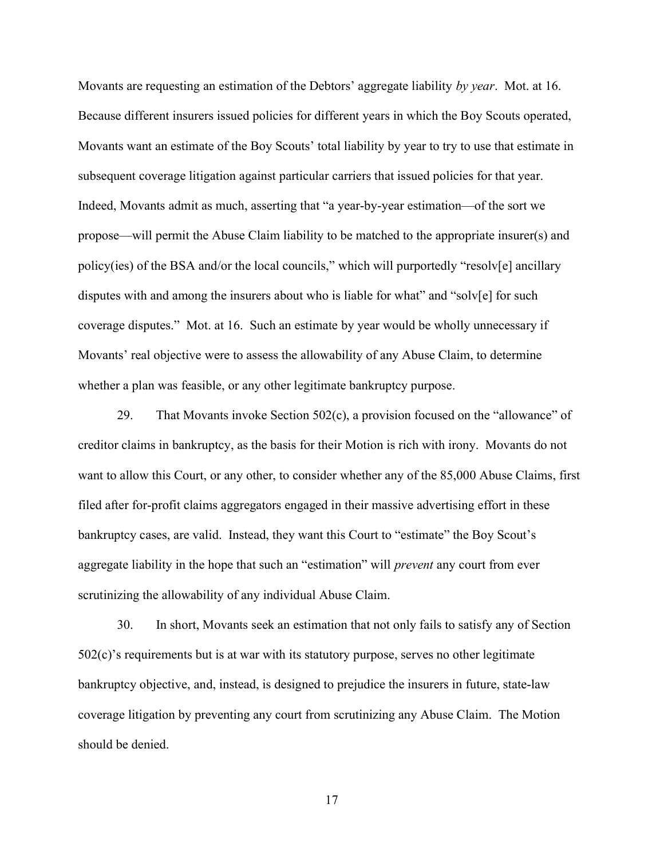Movants are requesting an estimation of the Debtors' aggregate liability by year. Mot. at 16. Because different insurers issued policies for different years in which the Boy Scouts operated, Movants want an estimate of the Boy Scouts' total liability by year to try to use that estimate in subsequent coverage litigation against particular carriers that issued policies for that year. Indeed, Movants admit as much, asserting that "a year-by-year estimation—of the sort we propose—will permit the Abuse Claim liability to be matched to the appropriate insurer(s) and policy(ies) of the BSA and/or the local councils," which will purportedly "resolv[e] ancillary disputes with and among the insurers about who is liable for what" and "solv[e] for such coverage disputes." Mot. at 16. Such an estimate by year would be wholly unnecessary if Movants' real objective were to assess the allowability of any Abuse Claim, to determine whether a plan was feasible, or any other legitimate bankruptcy purpose.

29. That Movants invoke Section 502(c), a provision focused on the "allowance" of creditor claims in bankruptcy, as the basis for their Motion is rich with irony. Movants do not want to allow this Court, or any other, to consider whether any of the 85,000 Abuse Claims, first filed after for-profit claims aggregators engaged in their massive advertising effort in these bankruptcy cases, are valid. Instead, they want this Court to "estimate" the Boy Scout's aggregate liability in the hope that such an "estimation" will *prevent* any court from ever scrutinizing the allowability of any individual Abuse Claim.

30. In short, Movants seek an estimation that not only fails to satisfy any of Section 502(c)'s requirements but is at war with its statutory purpose, serves no other legitimate bankruptcy objective, and, instead, is designed to prejudice the insurers in future, state-law coverage litigation by preventing any court from scrutinizing any Abuse Claim. The Motion should be denied.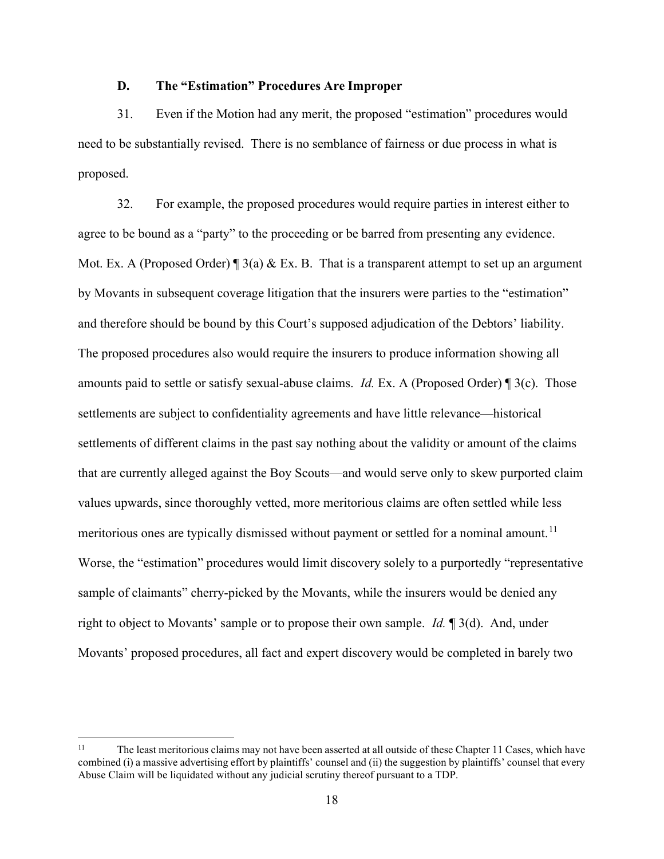## D. The "Estimation" Procedures Are Improper

31. Even if the Motion had any merit, the proposed "estimation" procedures would need to be substantially revised. There is no semblance of fairness or due process in what is proposed.

32. For example, the proposed procedures would require parties in interest either to agree to be bound as a "party" to the proceeding or be barred from presenting any evidence. Mot. Ex. A (Proposed Order)  $\parallel$  3(a) & Ex. B. That is a transparent attempt to set up an argument by Movants in subsequent coverage litigation that the insurers were parties to the "estimation" and therefore should be bound by this Court's supposed adjudication of the Debtors' liability. The proposed procedures also would require the insurers to produce information showing all amounts paid to settle or satisfy sexual-abuse claims. Id. Ex. A (Proposed Order) ¶ 3(c). Those settlements are subject to confidentiality agreements and have little relevance—historical settlements of different claims in the past say nothing about the validity or amount of the claims that are currently alleged against the Boy Scouts—and would serve only to skew purported claim values upwards, since thoroughly vetted, more meritorious claims are often settled while less meritorious ones are typically dismissed without payment or settled for a nominal amount.<sup>11</sup> Worse, the "estimation" procedures would limit discovery solely to a purportedly "representative sample of claimants" cherry-picked by the Movants, while the insurers would be denied any right to object to Movants' sample or to propose their own sample. *Id.* 1 3(d). And, under Movants' proposed procedures, all fact and expert discovery would be completed in barely two

<sup>&</sup>lt;sup>11</sup> The least meritorious claims may not have been asserted at all outside of these Chapter 11 Cases, which have combined (i) a massive advertising effort by plaintiffs' counsel and (ii) the suggestion by plaintiffs' counsel that every Abuse Claim will be liquidated without any judicial scrutiny thereof pursuant to a TDP.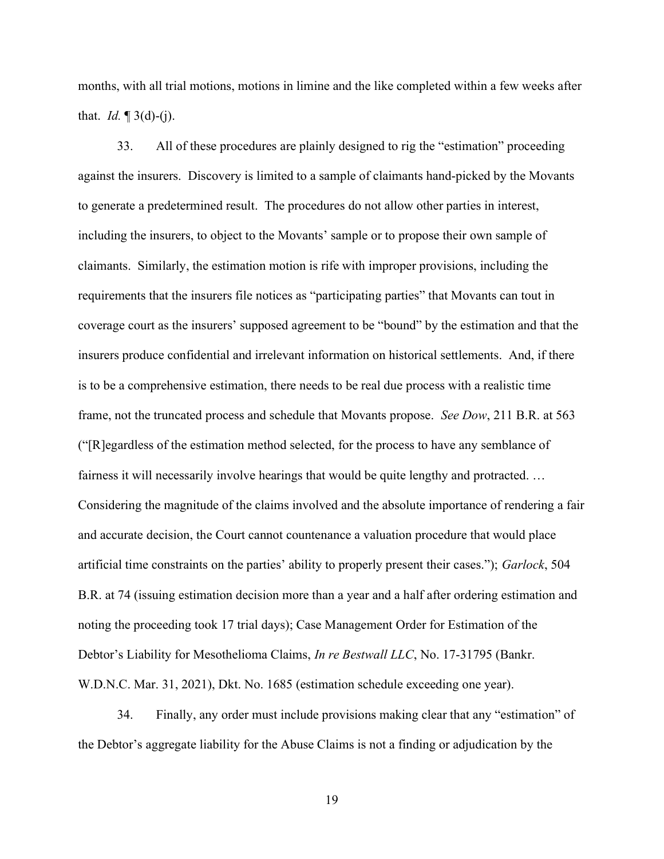months, with all trial motions, motions in limine and the like completed within a few weeks after that. *Id.*  $\P$  3(d)-(j).

33. All of these procedures are plainly designed to rig the "estimation" proceeding against the insurers. Discovery is limited to a sample of claimants hand-picked by the Movants to generate a predetermined result. The procedures do not allow other parties in interest, including the insurers, to object to the Movants' sample or to propose their own sample of claimants. Similarly, the estimation motion is rife with improper provisions, including the requirements that the insurers file notices as "participating parties" that Movants can tout in coverage court as the insurers' supposed agreement to be "bound" by the estimation and that the insurers produce confidential and irrelevant information on historical settlements. And, if there is to be a comprehensive estimation, there needs to be real due process with a realistic time frame, not the truncated process and schedule that Movants propose. See Dow, 211 B.R. at 563 ("[R]egardless of the estimation method selected, for the process to have any semblance of fairness it will necessarily involve hearings that would be quite lengthy and protracted. … Considering the magnitude of the claims involved and the absolute importance of rendering a fair and accurate decision, the Court cannot countenance a valuation procedure that would place artificial time constraints on the parties' ability to properly present their cases."); Garlock, 504 B.R. at 74 (issuing estimation decision more than a year and a half after ordering estimation and noting the proceeding took 17 trial days); Case Management Order for Estimation of the Debtor's Liability for Mesothelioma Claims, In re Bestwall LLC, No. 17-31795 (Bankr. W.D.N.C. Mar. 31, 2021), Dkt. No. 1685 (estimation schedule exceeding one year).

34. Finally, any order must include provisions making clear that any "estimation" of the Debtor's aggregate liability for the Abuse Claims is not a finding or adjudication by the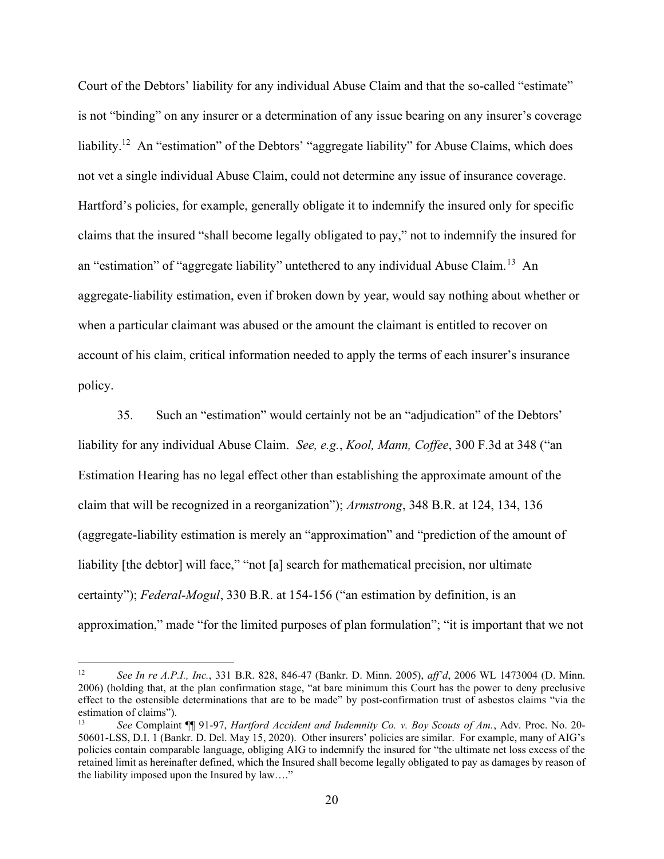Court of the Debtors' liability for any individual Abuse Claim and that the so-called "estimate" is not "binding" on any insurer or a determination of any issue bearing on any insurer's coverage liability.<sup>12</sup> An "estimation" of the Debtors' "aggregate liability" for Abuse Claims, which does not vet a single individual Abuse Claim, could not determine any issue of insurance coverage. Hartford's policies, for example, generally obligate it to indemnify the insured only for specific claims that the insured "shall become legally obligated to pay," not to indemnify the insured for an "estimation" of "aggregate liability" untethered to any individual Abuse Claim.<sup>13</sup> An aggregate-liability estimation, even if broken down by year, would say nothing about whether or when a particular claimant was abused or the amount the claimant is entitled to recover on account of his claim, critical information needed to apply the terms of each insurer's insurance policy.

35. Such an "estimation" would certainly not be an "adjudication" of the Debtors' liability for any individual Abuse Claim. See, e.g., Kool, Mann, Coffee, 300 F.3d at 348 ("an Estimation Hearing has no legal effect other than establishing the approximate amount of the claim that will be recognized in a reorganization"); Armstrong, 348 B.R. at 124, 134, 136 (aggregate-liability estimation is merely an "approximation" and "prediction of the amount of liability [the debtor] will face," "not [a] search for mathematical precision, nor ultimate certainty"); Federal-Mogul, 330 B.R. at 154-156 ("an estimation by definition, is an approximation," made "for the limited purposes of plan formulation"; "it is important that we not

<sup>12</sup> See In re A.P.I., Inc., 331 B.R. 828, 846-47 (Bankr. D. Minn. 2005), aff'd, 2006 WL 1473004 (D. Minn. 2006) (holding that, at the plan confirmation stage, "at bare minimum this Court has the power to deny preclusive effect to the ostensible determinations that are to be made" by post-confirmation trust of asbestos claims "via the estimation of claims").

<sup>13</sup> See Complaint ¶ 91-97, Hartford Accident and Indemnity Co. v. Boy Scouts of Am., Adv. Proc. No. 20-50601-LSS, D.I. 1 (Bankr. D. Del. May 15, 2020). Other insurers' policies are similar. For example, many of AIG's policies contain comparable language, obliging AIG to indemnify the insured for "the ultimate net loss excess of the retained limit as hereinafter defined, which the Insured shall become legally obligated to pay as damages by reason of the liability imposed upon the Insured by law…."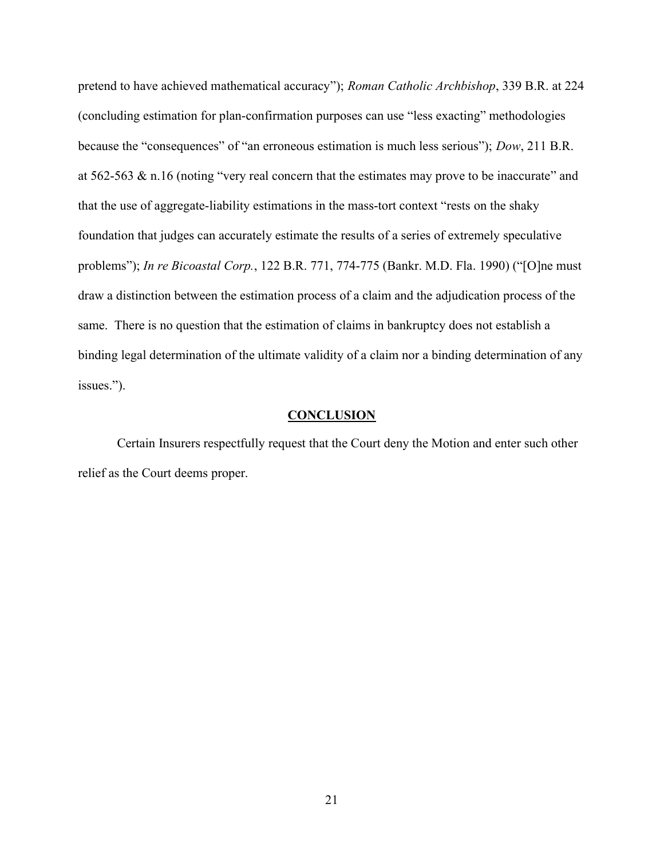pretend to have achieved mathematical accuracy"); Roman Catholic Archbishop, 339 B.R. at 224 (concluding estimation for plan-confirmation purposes can use "less exacting" methodologies because the "consequences" of "an erroneous estimation is much less serious"); Dow, 211 B.R. at 562-563 & n.16 (noting "very real concern that the estimates may prove to be inaccurate" and that the use of aggregate-liability estimations in the mass-tort context "rests on the shaky foundation that judges can accurately estimate the results of a series of extremely speculative problems"); In re Bicoastal Corp., 122 B.R. 771, 774-775 (Bankr. M.D. Fla. 1990) ("[O]ne must draw a distinction between the estimation process of a claim and the adjudication process of the same. There is no question that the estimation of claims in bankruptcy does not establish a binding legal determination of the ultimate validity of a claim nor a binding determination of any issues.").

#### **CONCLUSION**

Certain Insurers respectfully request that the Court deny the Motion and enter such other relief as the Court deems proper.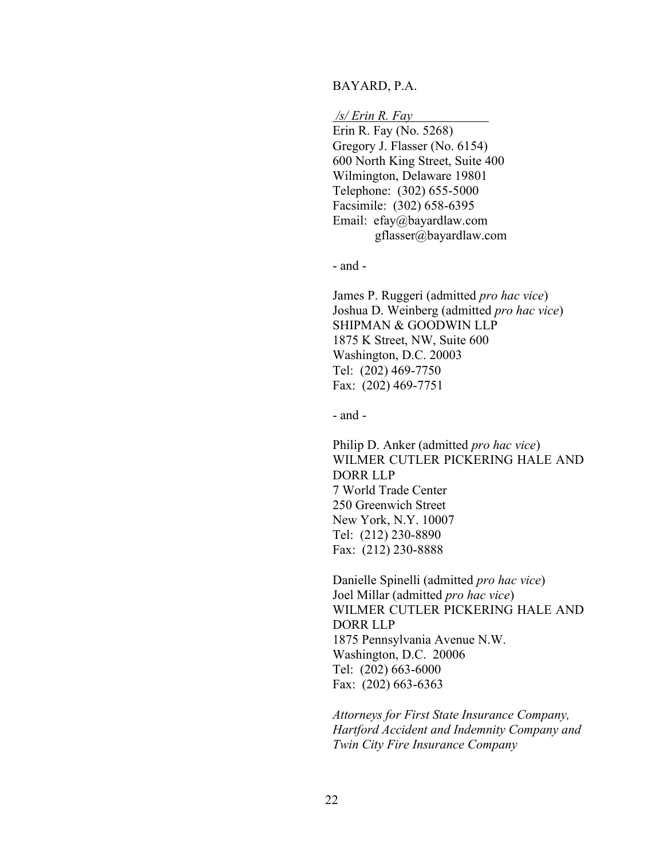#### BAYARD, P.A.

/s/ Erin R. Fay

Erin R. Fay (No. 5268) Gregory J. Flasser (No. 6154) 600 North King Street, Suite 400 Wilmington, Delaware 19801 Telephone: (302) 655-5000 Facsimile: (302) 658-6395 Email: efay@bayardlaw.com gflasser@bayardlaw.com

- and -

James P. Ruggeri (admitted pro hac vice) Joshua D. Weinberg (admitted pro hac vice) SHIPMAN & GOODWIN LLP 1875 K Street, NW, Suite 600 Washington, D.C. 20003 Tel: (202) 469-7750 Fax: (202) 469-7751

- and -

Philip D. Anker (admitted pro hac vice) WILMER CUTLER PICKERING HALE AND DORR LLP 7 World Trade Center 250 Greenwich Street New York, N.Y. 10007 Tel: (212) 230-8890 Fax: (212) 230-8888

Danielle Spinelli (admitted pro hac vice) Joel Millar (admitted pro hac vice) WILMER CUTLER PICKERING HALE AND DORR LLP 1875 Pennsylvania Avenue N.W. Washington, D.C. 20006 Tel: (202) 663-6000 Fax: (202) 663-6363

Attorneys for First State Insurance Company, Hartford Accident and Indemnity Company and Twin City Fire Insurance Company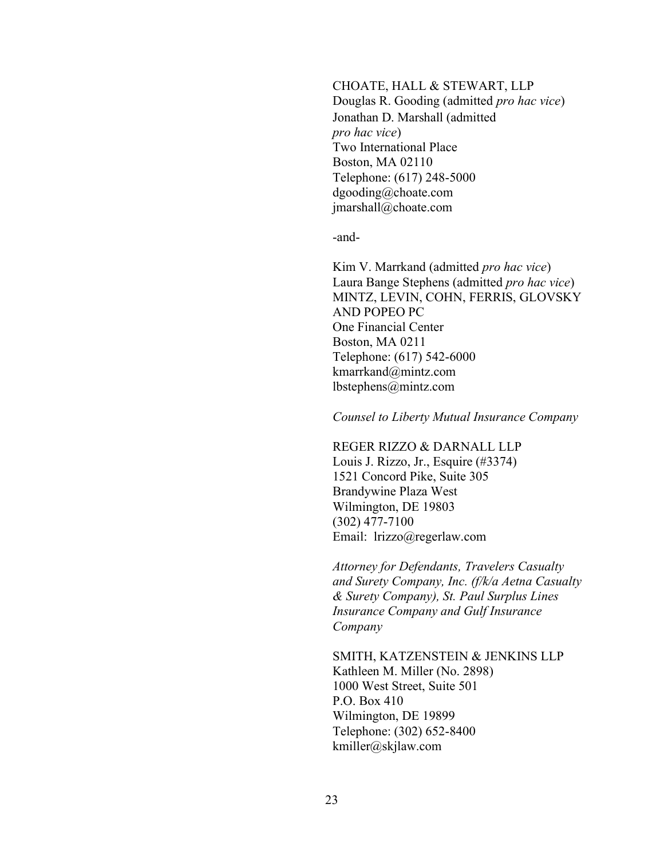CHOATE, HALL & STEWART, LLP Douglas R. Gooding (admitted pro hac vice) Jonathan D. Marshall (admitted pro hac vice) Two International Place Boston, MA 02110 Telephone: (617) 248-5000 dgooding@choate.com jmarshall@choate.com

-and-

Kim V. Marrkand (admitted pro hac vice) Laura Bange Stephens (admitted pro hac vice) MINTZ, LEVIN, COHN, FERRIS, GLOVSKY AND POPEO PC One Financial Center Boston, MA 0211 Telephone: (617) 542-6000 kmarrkand@mintz.com lbstephens@mintz.com

Counsel to Liberty Mutual Insurance Company

REGER RIZZO & DARNALL LLP

Louis J. Rizzo, Jr., Esquire (#3374) 1521 Concord Pike, Suite 305 Brandywine Plaza West Wilmington, DE 19803 (302) 477-7100 Email: lrizzo@regerlaw.com

Attorney for Defendants, Travelers Casualty and Surety Company, Inc. (f/k/a Aetna Casualty & Surety Company), St. Paul Surplus Lines Insurance Company and Gulf Insurance Company

SMITH, KATZENSTEIN & JENKINS LLP Kathleen M. Miller (No. 2898) 1000 West Street, Suite 501 P.O. Box 410 Wilmington, DE 19899 Telephone: (302) 652-8400 kmiller@skjlaw.com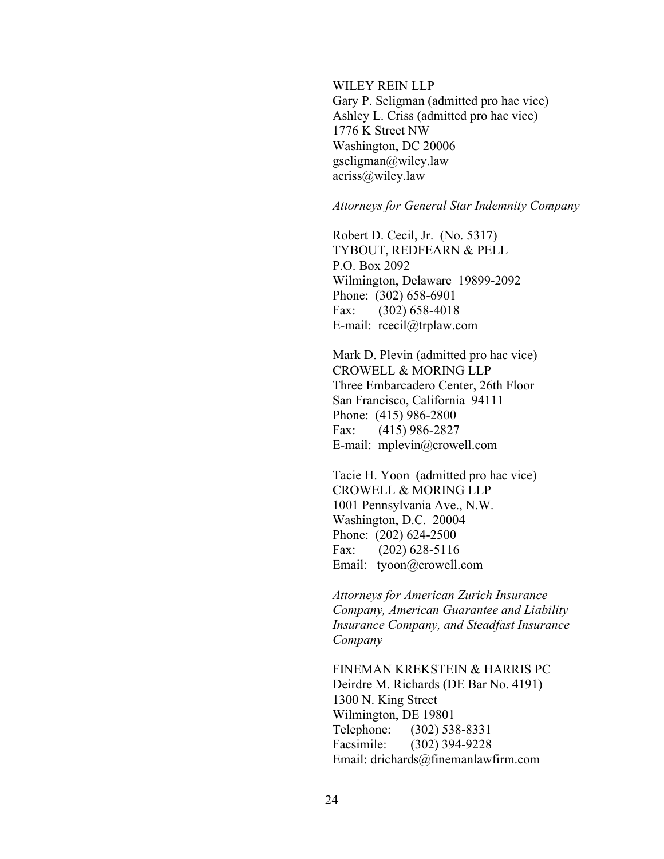WILEY REIN LLP

Gary P. Seligman (admitted pro hac vice) Ashley L. Criss (admitted pro hac vice) 1776 K Street NW Washington, DC 20006 gseligman@wiley.law acriss@wiley.law

#### Attorneys for General Star Indemnity Company

Robert D. Cecil, Jr. (No. 5317) TYBOUT, REDFEARN & PELL P.O. Box 2092 Wilmington, Delaware 19899-2092 Phone: (302) 658-6901 Fax: (302) 658-4018 E-mail: rcecil@trplaw.com

Mark D. Plevin (admitted pro hac vice) CROWELL & MORING LLP Three Embarcadero Center, 26th Floor San Francisco, California 94111 Phone: (415) 986-2800 Fax: (415) 986-2827 E-mail: mplevin@crowell.com

Tacie H. Yoon (admitted pro hac vice) CROWELL & MORING LLP 1001 Pennsylvania Ave., N.W. Washington, D.C. 20004 Phone: (202) 624-2500 Fax: (202) 628-5116 Email: tyoon@crowell.com

Attorneys for American Zurich Insurance Company, American Guarantee and Liability Insurance Company, and Steadfast Insurance Company

FINEMAN KREKSTEIN & HARRIS PC Deirdre M. Richards (DE Bar No. 4191) 1300 N. King Street Wilmington, DE 19801 Telephone: (302) 538-8331 Facsimile: (302) 394-9228 Email: drichards@finemanlawfirm.com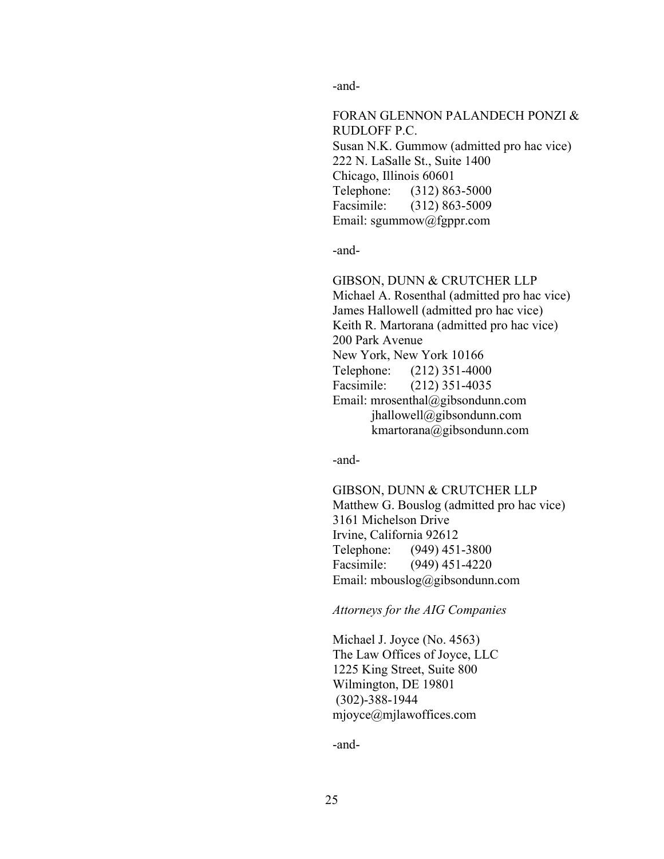-and-

FORAN GLENNON PALANDECH PONZI & RUDLOFF P.C. Susan N.K. Gummow (admitted pro hac vice) 222 N. LaSalle St., Suite 1400 Chicago, Illinois 60601 Telephone: (312) 863-5000 Facsimile: (312) 863-5009 Email: sgummow@fgppr.com

-and-

GIBSON, DUNN & CRUTCHER LLP Michael A. Rosenthal (admitted pro hac vice) James Hallowell (admitted pro hac vice) Keith R. Martorana (admitted pro hac vice) 200 Park Avenue New York, New York 10166 Telephone: (212) 351-4000 Facsimile: (212) 351-4035 Email: mrosenthal@gibsondunn.com jhallowell@gibsondunn.com kmartorana@gibsondunn.com

-and-

GIBSON, DUNN & CRUTCHER LLP Matthew G. Bouslog (admitted pro hac vice) 3161 Michelson Drive Irvine, California 92612 Telephone: (949) 451-3800 Facsimile: (949) 451-4220 Email: mbouslog@gibsondunn.com

Attorneys for the AIG Companies

Michael J. Joyce (No. 4563) The Law Offices of Joyce, LLC 1225 King Street, Suite 800 Wilmington, DE 19801 (302)-388-1944 mjoyce@mjlawoffices.com

-and-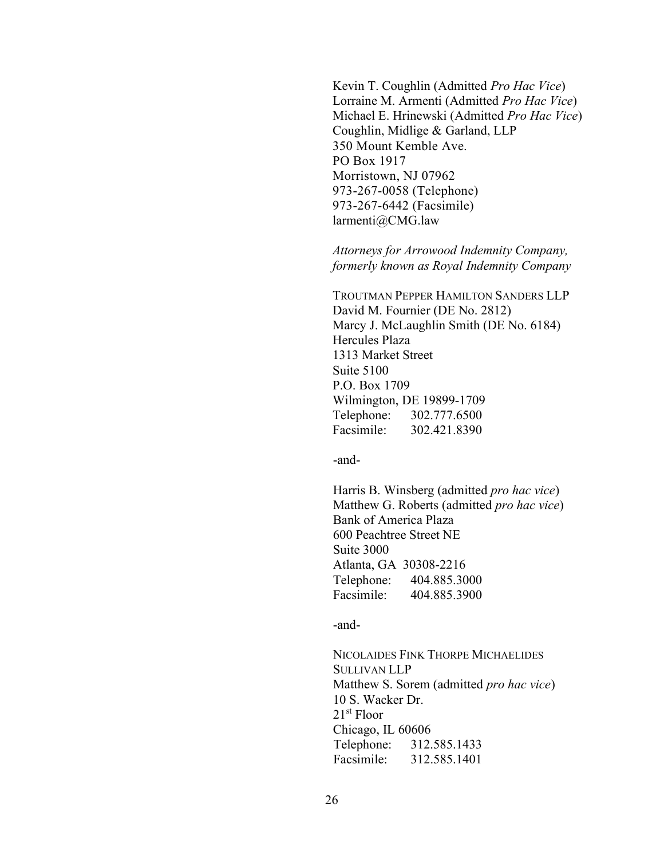Kevin T. Coughlin (Admitted Pro Hac Vice) Lorraine M. Armenti (Admitted Pro Hac Vice) Michael E. Hrinewski (Admitted Pro Hac Vice) Coughlin, Midlige & Garland, LLP 350 Mount Kemble Ave. PO Box 1917 Morristown, NJ 07962 973-267-0058 (Telephone) 973-267-6442 (Facsimile) larmenti@CMG.law

Attorneys for Arrowood Indemnity Company, formerly known as Royal Indemnity Company

TROUTMAN PEPPER HAMILTON SANDERS LLP David M. Fournier (DE No. 2812) Marcy J. McLaughlin Smith (DE No. 6184) Hercules Plaza 1313 Market Street Suite 5100 P.O. Box 1709 Wilmington, DE 19899-1709 Telephone: 302.777.6500 Facsimile: 302.421.8390

-and-

Harris B. Winsberg (admitted pro hac vice) Matthew G. Roberts (admitted *pro hac vice*) Bank of America Plaza 600 Peachtree Street NE Suite 3000 Atlanta, GA 30308-2216 Telephone: 404.885.3000 Facsimile: 404.885.3900

-and-

NICOLAIDES FINK THORPE MICHAELIDES SULLIVAN LLP Matthew S. Sorem (admitted pro hac vice) 10 S. Wacker Dr. 21st Floor Chicago, IL 60606 Telephone: 312.585.1433 Facsimile: 312.585.1401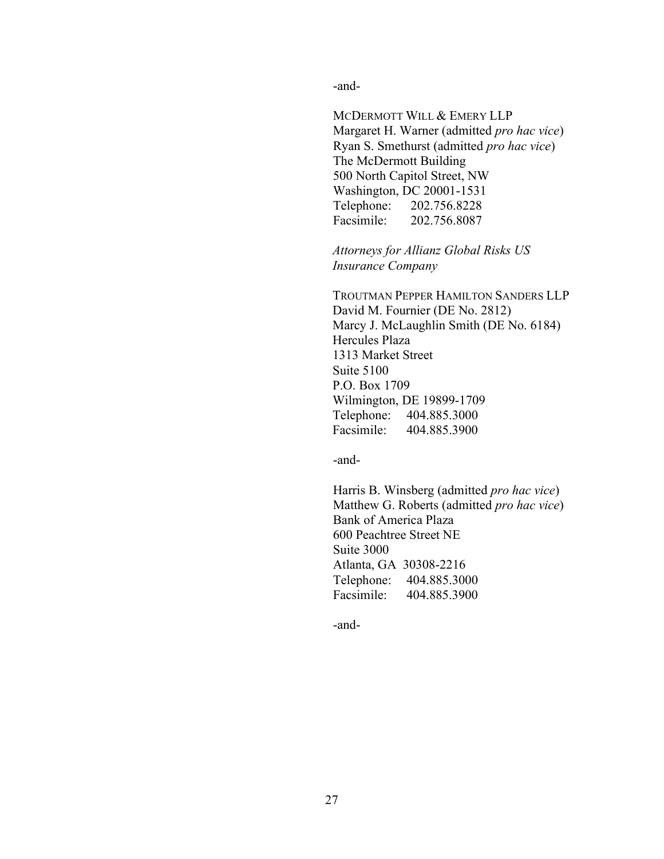-and-

MCDERMOTT WILL & EMERY LLP Margaret H. Warner (admitted pro hac vice) Ryan S. Smethurst (admitted pro hac vice) The McDermott Building 500 North Capitol Street, NW Washington, DC 20001-1531 Telephone: 202.756.8228 Facsimile: 202.756.8087

Attorneys for Allianz Global Risks US Insurance Company

TROUTMAN PEPPER HAMILTON SANDERS LLP David M. Fournier (DE No. 2812) Marcy J. McLaughlin Smith (DE No. 6184) Hercules Plaza 1313 Market Street Suite 5100 P.O. Box 1709 Wilmington, DE 19899-1709 Telephone: 404.885.3000 Facsimile: 404.885.3900

-and-

Harris B. Winsberg (admitted pro hac vice) Matthew G. Roberts (admitted pro hac vice) Bank of America Plaza 600 Peachtree Street NE Suite 3000 Atlanta, GA 30308-2216 Telephone: 404.885.3000 Facsimile: 404.885.3900

-and-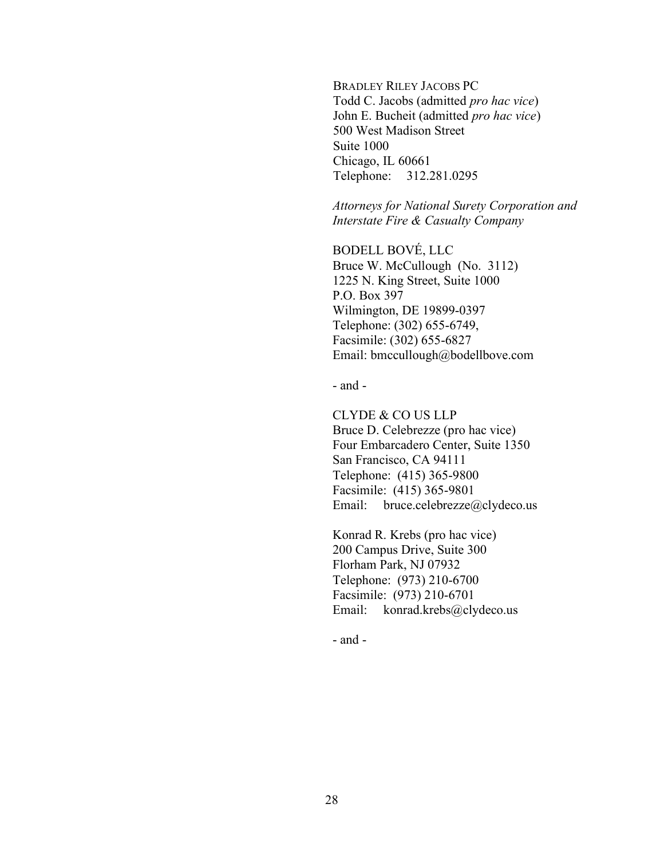BRADLEY RILEY JACOBS PC Todd C. Jacobs (admitted pro hac vice) John E. Bucheit (admitted pro hac vice) 500 West Madison Street Suite 1000 Chicago, IL 60661 Telephone: 312.281.0295

Attorneys for National Surety Corporation and Interstate Fire & Casualty Company

BODELL BOVÉ, LLC Bruce W. McCullough (No. 3112) 1225 N. King Street, Suite 1000 P.O. Box 397 Wilmington, DE 19899-0397 Telephone: (302) 655-6749, Facsimile: (302) 655-6827 Email: bmccullough@bodellbove.com

- and -

CLYDE & CO US LLP Bruce D. Celebrezze (pro hac vice) Four Embarcadero Center, Suite 1350 San Francisco, CA 94111 Telephone: (415) 365-9800 Facsimile: (415) 365-9801 Email: bruce.celebrezze@clydeco.us

Konrad R. Krebs (pro hac vice) 200 Campus Drive, Suite 300 Florham Park, NJ 07932 Telephone: (973) 210-6700 Facsimile: (973) 210-6701 Email: konrad.krebs@clydeco.us

- and -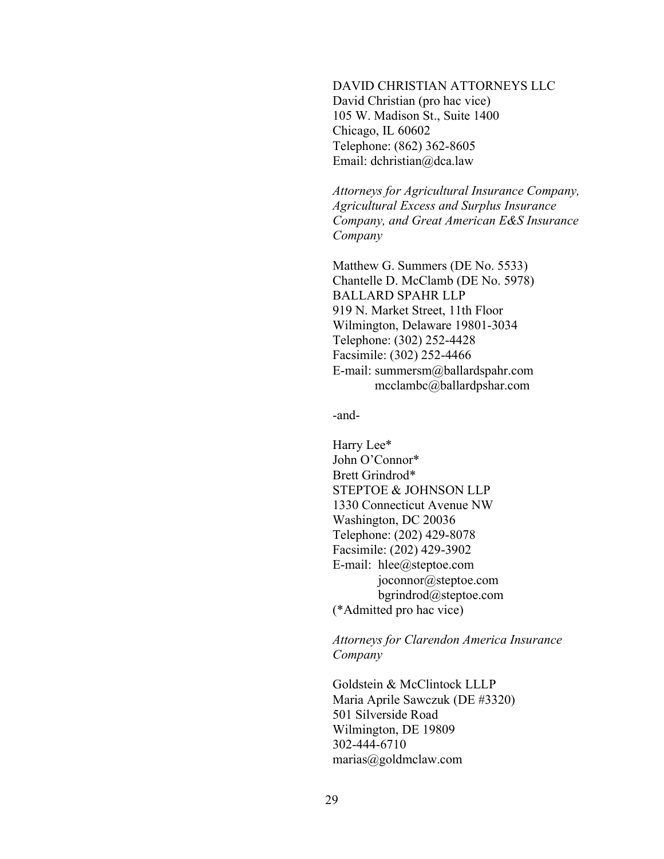DAVID CHRISTIAN ATTORNEYS LLC David Christian (pro hac vice) 105 W. Madison St., Suite 1400 Chicago, IL 60602 Telephone: (862) 362-8605 Email: dchristian@dca.law

Attorneys for Agricultural Insurance Company, Agricultural Excess and Surplus Insurance Company, and Great American E&S Insurance Company

Matthew G. Summers (DE No. 5533) Chantelle D. McClamb (DE No. 5978) BALLARD SPAHR LLP 919 N. Market Street, 11th Floor Wilmington, Delaware 19801-3034 Telephone: (302) 252-4428 Facsimile: (302) 252-4466 E-mail: summersm@ballardspahr.com mcclambc@ballardpshar.com

-and-

Harry Lee\* John O'Connor\* Brett Grindrod\* STEPTOE & JOHNSON LLP 1330 Connecticut Avenue NW Washington, DC 20036 Telephone: (202) 429-8078 Facsimile: (202) 429-3902 E-mail: hlee@steptoe.com joconnor@steptoe.com bgrindrod@steptoe.com (\*Admitted pro hac vice)

Attorneys for Clarendon America Insurance Company

Goldstein & McClintock LLLP Maria Aprile Sawczuk (DE #3320) 501 Silverside Road Wilmington, DE 19809 302-444-6710 marias@goldmclaw.com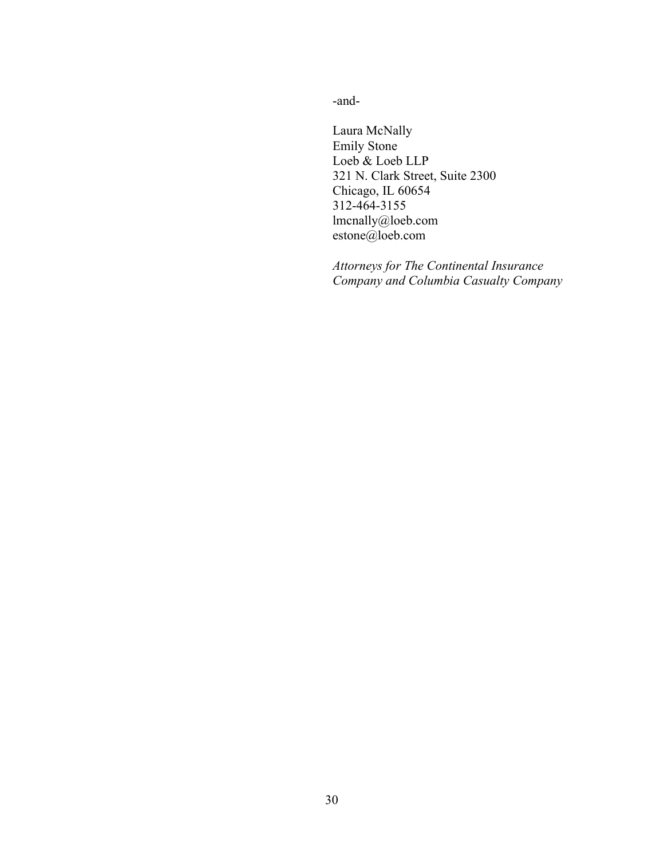-and-

Laura McNally Emily Stone Loeb & Loeb LLP 321 N. Clark Street, Suite 2300 Chicago, IL 60654 312-464-3155 lmcnally@loeb.com estone@loeb.com

Attorneys for The Continental Insurance Company and Columbia Casualty Company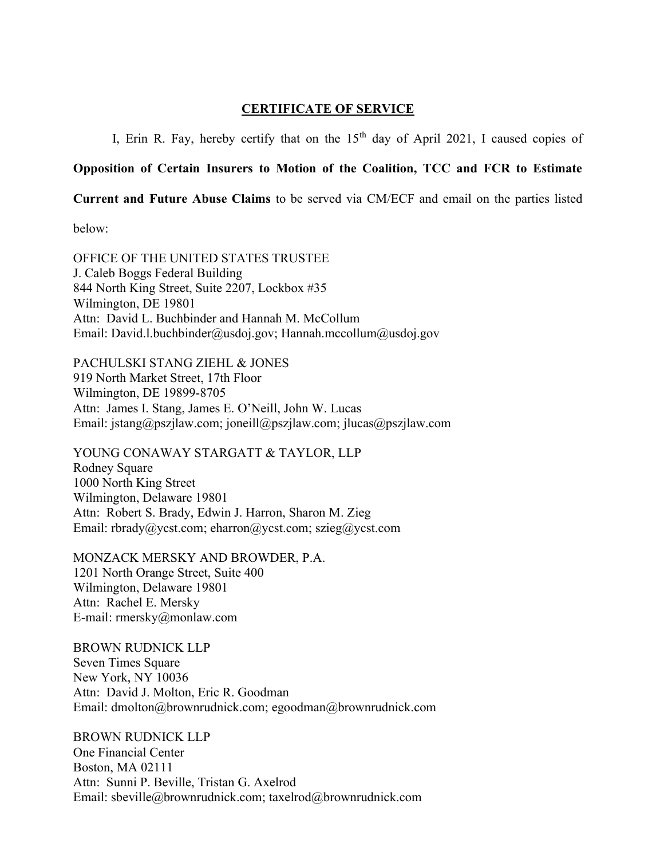#### CERTIFICATE OF SERVICE

I, Erin R. Fay, hereby certify that on the  $15<sup>th</sup>$  day of April 2021, I caused copies of

## Opposition of Certain Insurers to Motion of the Coalition, TCC and FCR to Estimate

Current and Future Abuse Claims to be served via CM/ECF and email on the parties listed

below:

OFFICE OF THE UNITED STATES TRUSTEE J. Caleb Boggs Federal Building 844 North King Street, Suite 2207, Lockbox #35 Wilmington, DE 19801 Attn: David L. Buchbinder and Hannah M. McCollum Email: David.l.buchbinder@usdoj.gov; Hannah.mccollum@usdoj.gov

PACHULSKI STANG ZIEHL & JONES 919 North Market Street, 17th Floor Wilmington, DE 19899-8705 Attn: James I. Stang, James E. O'Neill, John W. Lucas Email: jstang@pszjlaw.com; joneill@pszjlaw.com; jlucas@pszjlaw.com

YOUNG CONAWAY STARGATT & TAYLOR, LLP Rodney Square 1000 North King Street Wilmington, Delaware 19801 Attn: Robert S. Brady, Edwin J. Harron, Sharon M. Zieg Email: rbrady@ycst.com; eharron@ycst.com; szieg@ycst.com

MONZACK MERSKY AND BROWDER, P.A. 1201 North Orange Street, Suite 400 Wilmington, Delaware 19801 Attn: Rachel E. Mersky E-mail: rmersky@monlaw.com

BROWN RUDNICK LLP Seven Times Square New York, NY 10036 Attn: David J. Molton, Eric R. Goodman Email: dmolton@brownrudnick.com; egoodman@brownrudnick.com

BROWN RUDNICK LLP One Financial Center Boston, MA 02111 Attn: Sunni P. Beville, Tristan G. Axelrod Email: sbeville@brownrudnick.com; taxelrod@brownrudnick.com